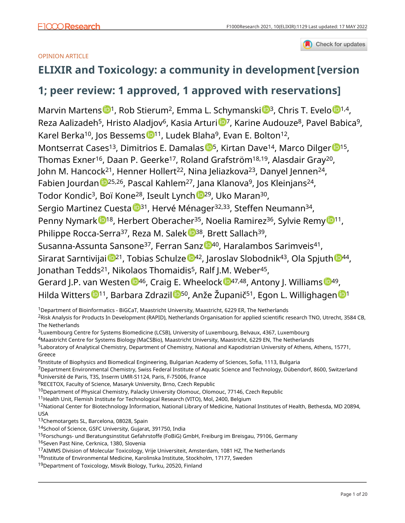### Check for updates

## OPINION ARTICLE

## **[ELIXIR and Toxicology: a community in development](https://f1000research.com/articles/10-1129/v1) [version**

## **1; peer review: 1 approved, 1 approved with reservations]**

Marvin Martens <sup>[1](https://orcid.org/0000-0003-2230-0840),</sup> Rob Stierum<sup>2</sup>, Emma L. Schymanski <sup>1[3](https://orcid.org/0000-0001-6868-8145)</sup>, Chris T. Evelo <sup>1,4</sup>, Reza Aalizadeh<sup>5</sup>, Hristo Aladjov<sup>6</sup>, Kasia Arturi <sup>1</sup>, Karine Audouze<sup>8</sup>, Pavel Babica<sup>9</sup>, Karel Berka<sup>10</sup>, Jos Bessems <sup>1011</sup>, Ludek Blaha<sup>9</sup>, Evan E. Bolton<sup>12</sup>, Montserrat Cases<sup>13</sup>, Dimitrios E. Damalas <sup>15</sup>, Kirtan Dave<sup>14</sup>, Marco Dilger <sup>15</sup>, Thomas Exner<sup>16</sup>, Daan P. Geerke<sup>17</sup>, Roland Grafström<sup>18,19</sup>, Alasdair Gray<sup>20</sup>, John M. Hancock<sup>21</sup>, Henner Hollert<sup>22</sup>, Nina Jeliazkova<sup>23</sup>, Danyel Jennen<sup>24</sup>, Fabien Jourdan <sup>1925,26</sup>, Pascal Kahlem<sup>27</sup>, Jana Klanova<sup>9</sup>, Jos Kleinjans<sup>24</sup>, Todor Kondic<sup>3</sup>, Boï Kone<sup>28</sup>, Iseult Lynch <sup>1929</sup>, Uko Maran<sup>30</sup>, Sergio Martinez Cuesta <sup>1[3](https://orcid.org/0000-0001-9806-2805)1</sup>, Hervé Ménager<sup>32,33</sup>, Steffen Neumann<sup>34</sup>, Penny Nymark <sup>[1](https://orcid.org/0000-0002-3435-7775)8</sup>, Herbert Oberacher<sup>35</sup>, Noelia Ramirez<sup>36</sup>, S[y](https://orcid.org/0000-0003-0322-9620)lvie Remy <sup>11</sup>, Philippe Rocca-Serra<sup>37</sup>, Reza M. Salek <sup>1938</sup>, Brett Sallach<sup>39</sup>, Susanna-Assunta Sansone<sup>37</sup>, Ferran Sanz <sup>1</sup>0[4](https://orcid.org/0000-0002-7534-7661)0, Haralambos Sarimveis<sup>41</sup>, S[i](https://orcid.org/0000-0002-2548-641X)rarat Sarntivijai <sup>1021</sup>, Tobias Sc[h](https://orcid.org/0000-0002-8083-2864)ulze <sup>1042</sup>, Jaroslav Slobodnik<sup>43</sup>, Ola Spjuth <sup>1044</sup>, Jonathan Tedds<sup>21</sup>, Nikolaos Thomaidis<sup>5</sup>, Ralf J.M. Weber<sup>45</sup>, Gerard J.P. van Westen  $\mathbb{D}^{46}$  $\mathbb{D}^{46}$  $\mathbb{D}^{46}$ , Craig E. Wheelock  $\mathbb{D}^{47,48}$ , Antony J. Williams  $\mathbb{D}^{49}$ , Hilda Witter[s](https://orcid.org/0000-0002-2026-3962) <sup>11</sup>, Barbara Zdrazi[l](https://orcid.org/0000-0001-9395-1515) <sup>[1](https://orcid.org/0000-0001-7542-0286)50</sup>, Anže Županič<sup>51</sup>, Egon L. Willighagen <sup>1</sup>1

<sup>1</sup>Department of Bioinformatics - BiGCaT, Maastricht University, Maastricht, 6229 ER, The Netherlands

<sup>2</sup>Risk Analysis for Products In Development (RAPID), Netherlands Organisation for applied scientific research TNO, Utrecht, 3584 CB, The Netherlands

<sup>3</sup>Luxembourg Centre for Systems Biomedicine (LCSB), University of Luxembourg, Belvaux, 4367, Luxembourg

<sup>4</sup>Maastricht Centre for Systems Biology (MaCSBio), Maastricht University, Maastricht, 6229 EN, The Netherlands <sup>5</sup>Laboratory of Analytical Chemistry, Department of Chemistry, National and Kapodistrian University of Athens, Athens, 15771,

Greece

<sup>6</sup>Institute of Biophysics and Biomedical Engineering, Bulgarian Academy of Sciences, Sofia, 1113, Bulgaria

<sup>7</sup>Department Environmental Chemistry, Swiss Federal Institute of Aquatic Science and Technology, Dübendorf, 8600, Switzerland <sup>8</sup>Université de Paris, T3S, Inserm UMR-S1124, Paris, F-75006, France

<sup>9</sup>RECETOX, Faculty of Science, Masaryk University, Brno, Czech Republic

<sup>10</sup>Department of Physical Chemistry, Palacky University Olomouc, Olomouc, 77146, Czech Republic

<sup>11</sup> Health Unit, Flemish Institute for Technological Research (VITO), Mol, 2400, Belgium

<sup>12</sup>National Center for Biotechnology Information, National Library of Medicine, National Institutes of Health, Bethesda, MD 20894, USA

13Chemotargets SL, Barcelona, 08028, Spain

<sup>14</sup>School of Science, GSFC University, Gujarat, 391750, India

<sup>15</sup>Forschungs- und Beratungsinstitut Gefahrstoffe (FoBiG) GmbH, Freiburg im Breisgau, 79106, Germany

16 Seven Past Nine, Cerknica, 1380, Slovenia

<sup>17</sup>AIMMS Division of Molecular Toxicology, Vrije Universiteit, Amsterdam, 1081 HZ, The Netherlands

<sup>18</sup>Institute of Environmental Medicine, Karolinska Institute, Stockholm, 17177, Sweden

<sup>19</sup>Department of Toxicology, Misvik Biology, Turku, 20520, Finland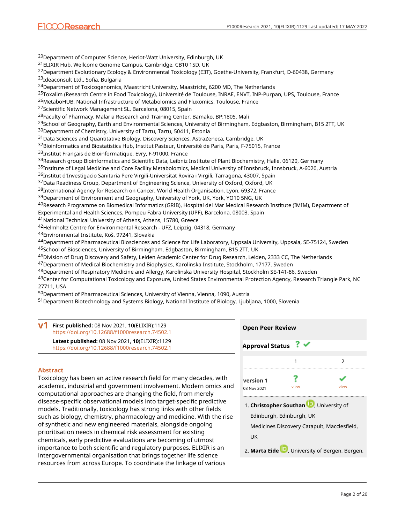<sup>20</sup>Department of Computer Science, Heriot-Watt University, Edinburgh, UK <sup>21</sup>ELIXIR Hub, Wellcome Genome Campus, Cambridge, CB10 1SD, UK <sup>22</sup>Department Evolutionary Ecology & Environmental Toxicology (E3T), Goethe-University, Frankfurt, D-60438, Germany <sup>23</sup>Ideaconsult Ltd., Sofia, Bulgaria <sup>24</sup>Department of Toxicogenomics, Maastricht University, Maastricht, 6200 MD, The Netherlands <sup>25</sup>Toxalim (Research Centre in Food Toxicology), Université de Toulouse, INRAE, ENVT, INP-Purpan, UPS, Toulouse, France <sup>26</sup>MetaboHUB, National Infrastructure of Metabolomics and Fluxomics, Toulouse, France <sup>27</sup>Scientific Network Management SL, Barcelona, 08015, Spain <sup>28</sup>Faculty of Pharmacy, Malaria Research and Training Center, Bamako, BP:1805, Mali <sup>29</sup>School of Geography, Earth and Environmental Sciences, University of Birmingham, Edgbaston, Birmingham, B15 2TT, UK <sup>30</sup>Department of Chemistry, University of Tartu, Tartu, 50411, Estonia <sup>31</sup>Data Sciences and Quantitative Biology, Discovery Sciences, AstraZeneca, Cambridge, UK 32Bioinformatics and Biostatistics Hub, Institut Pasteur, Université de Paris, Paris, F-75015, France <sup>33</sup>Institut Français de Bioinformatique, Evry, F-91000, France 34Research group Bioinformatics and Scientific Data, Leibniz Institute of Plant Biochemistry, Halle, 06120, Germany <sup>35</sup>Institute of Legal Medicine and Core Facility Metabolomics, Medical University of Innsbruck, Innsbruck, A-6020, Austria 3<sup>6</sup>Institut d'Investigacio Sanitaria Pere Virgili-Universitat Rovira i Virgili, Tarragona, 43007, Spain <sup>37</sup>Data Readiness Group, Department of Engineering Science, University of Oxford, Oxford, UK <sup>38</sup>International Agency for Research on Cancer, World Health Organisation, Lyon, 69372, France <sup>39</sup>Department of Environment and Geography, University of York, UK, York, YO10 5NG, UK <sup>40</sup>Research Programme on Biomedical Informatics (GRIB), Hospital del Mar Medical Research Institute (IMIM), Department of Experimental and Health Sciences, Pompeu Fabra University (UPF), Barcelona, 08003, Spain <sup>41</sup>National Technical University of Athens, Athens, 15780, Greece <sup>42</sup>Helmholtz Centre for Environmental Research - UFZ, Leipzig, 04318, Germany <sup>43</sup>Environmental Institute, Koš, 97241, Slovakia <sup>44</sup>Department of Pharmaceutical Biosciences and Science for Life Laboratory, Uppsala University, Uppsala, SE-75124, Sweden <sup>45</sup>School of Biosciences, University of Birmingham, Edgbaston, Birmingham, B15 2TT, UK

<sup>46</sup>Division of Drug Discovery and Safety, Leiden Academic Center for Drug Research, Leiden, 2333 CC, The Netherlands

<sup>47</sup>Department of Medical Biochemistry and Biophysics, Karolinska Institute, Stockholm, 17177, Sweden

48Department of Respiratory Medicine and Allergy, Karolinska University Hospital, Stockholm SE-141-86, Sweden 49Center for Computational Toxicology and Exposure, United States Environmental Protection Agency, Research Triangle Park, NC 27711, USA

<sup>50</sup>Department of Pharmaceutical Sciences, University of Vienna, Vienna, 1090, Austria

51 Department Biotechnology and Systems Biology, National Institute of Biology, Ljubljana, 1000, Slovenia

| v1 | First published: 08 Nov 2021, 10(ELIXIR):1129<br>https://doi.org/10.12688/f1000research.74502.1 |
|----|-------------------------------------------------------------------------------------------------|
|    | Latest published: 08 Nov 2021, 10(ELIXIR):1129                                                  |
|    | https://doi.org/10.12688/f1000research.74502.1                                                  |

## **Abstract**

Toxicology has been an active research field for many decades, with academic, industrial and government involvement. Modern omics and computational approaches are changing the field, from merely disease-specific observational models into target-specific predictive models. Traditionally, toxicology has strong links with other fields such as biology, chemistry, pharmacology and medicine. With the rise of synthetic and new engineered materials, alongside ongoing prioritisation needs in chemical risk assessment for existing chemicals, early predictive evaluations are becoming of utmost importance to both scientific and regulatory purposes. ELIXIR is an intergovernmental organisation that brings together life science resources from across Europe. To coordinate the linkage of various

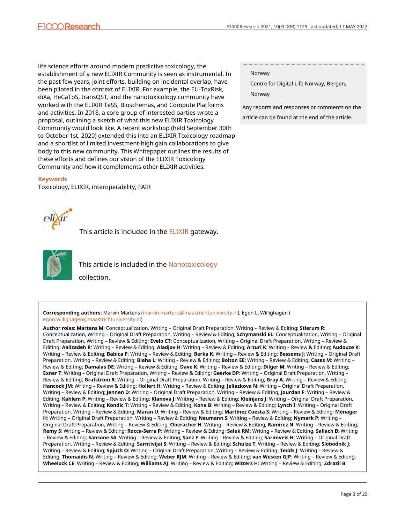life science efforts around modern predictive toxicology, the establishment of a new ELIXIR Community is seen as instrumental. In the past few years, joint efforts, building on incidental overlap, have been piloted in the context of ELIXIR. For example, the EU-ToxRisk, diXa, HeCaToS, transQST, and the nanotoxicology community have worked with the ELIXIR TeSS, Bioschemas, and Compute Platforms and activities. In 2018, a core group of interested parties wrote a proposal, outlining a sketch of what this new ELIXIR Toxicology Community would look like. A recent workshop (held September 30th to October 1st, 2020) extended this into an ELIXIR Toxicology roadmap and a shortlist of limited investment-high gain collaborations to give body to this new community. This Whitepaper outlines the results of these efforts and defines our vision of the ELIXIR Toxicology Community and how it complements other ELIXIR activities.

#### **Keywords**

Toxicology, ELIXIR, interoperability, FAIR

#### Norway

Centre for Digital Life Norway, Bergen, Norway

Any reports and responses or comments on the article can be found at the end of the article.



This article is included in the **[ELIXIR](https://f1000research.com/gateways/elixir)** gateway.



This article is included in the [Nanotoxicology](https://f1000research.com/collections/nanotoxicology) collection.

**Corresponding authors:** Marvin Martens ([marvin.martens@maastrichtuniversity.nl\)](mailto:marvin.martens@maastrichtuniversity.nl), Egon L. Willighagen ( [egon.willighagen@maastrichtuniversity.nl](mailto:egon.willighagen@maastrichtuniversity.nl))

**Author roles: Martens M**: Conceptualization, Writing – Original Draft Preparation, Writing – Review & Editing; **Stierum R**: Conceptualization, Writing – Original Draft Preparation, Writing – Review & Editing; **Schymanski EL**: Conceptualization, Writing – Original Draft Preparation, Writing – Review & Editing; **Evelo CT**: Conceptualization, Writing – Original Draft Preparation, Writing – Review & Editing; **Aalizadeh R**: Writing – Review & Editing; **Aladjov H**: Writing – Review & Editing; **Arturi K**: Writing – Review & Editing; **Audouze K**: Writing – Review & Editing; **Babica P**: Writing – Review & Editing; **Berka K**: Writing – Review & Editing; **Bessems J**: Writing – Original Draft Preparation, Writing – Review & Editing; **Blaha L**: Writing – Review & Editing; **Bolton EE**: Writing – Review & Editing; **Cases M**: Writing – Review & Editing; **Damalas DΕ**: Writing – Review & Editing; **Dave K**: Writing – Review & Editing; **Dilger M**: Writing – Review & Editing; **Exner T**: Writing – Original Draft Preparation, Writing – Review & Editing; **Geerke DP**: Writing – Original Draft Preparation, Writing – Review & Editing; **Grafström R**: Writing – Original Draft Preparation, Writing – Review & Editing; **Gray A**: Writing – Review & Editing; **Hancock JM**: Writing – Review & Editing; **Hollert H**: Writing – Review & Editing; **Jeliazkova N**: Writing – Original Draft Preparation, Writing – Review & Editing; **Jennen D**: Writing – Original Draft Preparation, Writing – Review & Editing; **Jourdan F**: Writing – Review & Editing; **Kahlem P**: Writing – Review & Editing; **Klanova J**: Writing – Review & Editing; **Kleinjans J**: Writing – Original Draft Preparation, Writing – Review & Editing; **Kondic T**: Writing – Review & Editing; **Kone B**: Writing – Review & Editing; **Lynch I**: Writing – Original Draft Preparation, Writing – Review & Editing; **Maran U**: Writing – Review & Editing; **Martinez Cuesta S**: Writing – Review & Editing; **Ménager H**: Writing – Original Draft Preparation, Writing – Review & Editing; **Neumann S**: Writing – Review & Editing; **Nymark P**: Writing – Original Draft Preparation, Writing – Review & Editing; **Oberacher H**: Writing – Review & Editing; **Ramirez N**: Writing – Review & Editing; **Remy S**: Writing – Review & Editing; **Rocca-Serra P**: Writing – Review & Editing; **Salek RM**: Writing – Review & Editing; **Sallach B**: Writing – Review & Editing; **Sansone SA**: Writing – Review & Editing; **Sanz F**: Writing – Review & Editing; **Sarimveis H**: Writing – Original Draft Preparation, Writing – Review & Editing; **Sarntivijai S**: Writing – Review & Editing; **Schulze T**: Writing – Review & Editing; **Slobodnik J**: Writing – Review & Editing; **Spjuth O**: Writing – Original Draft Preparation, Writing – Review & Editing; **Tedds J**: Writing – Review & Editing; **Thomaidis N**: Writing – Review & Editing; **Weber RJM**: Writing – Review & Editing; **van Westen GJP**: Writing – Review & Editing; **Wheelock CE**: Writing – Review & Editing; **Williams AJ**: Writing – Review & Editing; **Witters H**: Writing – Review & Editing; **Zdrazil B**: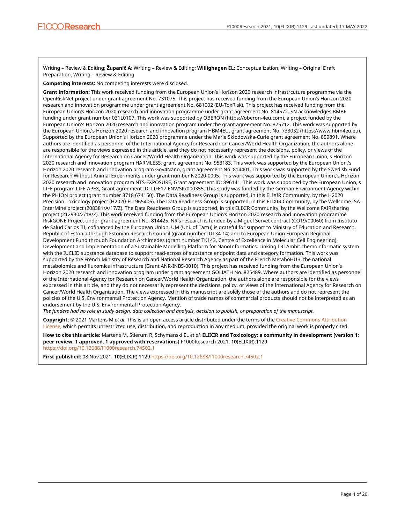Writing – Review & Editing; **Županič A**: Writing – Review & Editing; **Willighagen EL**: Conceptualization, Writing – Original Draft Preparation, Writing – Review & Editing

**Competing interests:** No competing interests were disclosed.

**Grant information:** This work received funding from the European Union's Horizon 2020 research infrastrcuture programme via the OpenRiskNet project under grant agreement No. 731075. This project has received funding from the European Union's Horizon 2020 research and innovation programme under grant agreement No. 681002 (EU-ToxRisk). This project has received funding from the European Union's Horizon 2020 research and innovation programme under grant agreement No. 814572. SN acknowledges BMBF funding under grant number 031L0107. This work was supported by OBERON (https://oberon-4eu.com), a project funded by the European Union's Horizon 2020 research and innovation program under the grant agreement No. 825712. This work was supported by the European Union,'s Horizon 2020 research and innovation program HBM4EU, grant agreement No. 733032 (https://www.hbm4eu.eu). Supported by the European Union's Horizon 2020 programme under the Marie Skłodowska-Curie grant agreement No. 859891. Where authors are identified as personnel of the International Agency for Research on Cancer/World Health Organization, the authors alone are responsible for the views expressed in this article, and they do not necessarily represent the decisions, policy, or views of the International Agency for Research on Cancer/World Health Organization. This work was supported by the European Union,'s Horizon 2020 research and innovation program HARMLESS, grant agreement No. 953183. This work was supported by the European Union,'s Horizon 2020 research and innovation program Gov4Nano, grant agreement No. 814401. This work was supported by the Swedish Fund for Research Without Animal Experiments under grant number N2020-0005. This work was supported by the European Union,'s Horizon 2020 research and innovation program NTS-EXPOSURE, Grant agreement ID: 896141. This work was supported by the European Union,'s LIFE program LIFE-APEX, Grant agreement ID: LIFE17 ENV/SK/000355. This study was funded by the German Environment Agency within the PHION project (grant number 3718 674150). The Data Readiness Group is supported, in this ELIXIR Community, by the H2020 Precision Toxicology project (H2020-EU 965406). The Data Readiness Group is supported, in this ELIXIR Community, by the Wellcome ISA-InterMine project (208381/A/17/Z). The Data Readiness Group is supported, in this ELIXIR Community, by the Wellcome FAIRsharing project (212930/Z/18/Z). This work received funding from the European Union's Horizon 2020 research and innovation programme RiskGONE Project under grant agreement No. 814425. NR's research is funded by a Miguel Servet contract (CO19/00060) from Instituto de Salud Carlos III, cofinanced by the European Union. UM (Uni. of Tartu) is grateful for support to Ministry of Education and Research, Republic of Estonia through Estonian Research Council (grant number IUT34-14) and to European Union European Regional Development Fund through Foundation Archimedes (grant number TK143, Centre of Excellence in Molecular Cell Engineering). Development and Implementation of a Sustainable Modelling Platform for NanoInformatics. Linking LRI Ambit chemoinformatic system with the IUCLID substance database to support read-across of substance endpoint data and category formation. This work was supported by the French Ministry of Research and National Research Agency as part of the French MetaboHUB, the national metabolomics and fluxomics infrastructure (Grant ANR-INBS-0010). This project has received funding from the European Union's Horizon 2020 research and innovation program under grant agreement GOLIATH No. 825489. Where authors are identified as personnel of the International Agency for Research on Cancer/World Health Organization, the authors alone are responsible for the views expressed in this article, and they do not necessarily represent the decisions, policy, or views of the International Agency for Research on Cancer/World Health Organization. The views expressed in this manuscript are solely those of the authors and do not represent the policies of the U.S. Environmental Protection Agency. Mention of trade names of commercial products should not be interpreted as an endorsement by the U.S. Environmental Protection Agency.

*The funders had no role in study design, data collection and analysis, decision to publish, or preparation of the manuscript.*

**Copyright:** © 2021 Martens M *et al*. This is an open access article distributed under the terms of the [Creative Commons Attribution](http://creativecommons.org/licenses/by/4.0/) [License](http://creativecommons.org/licenses/by/4.0/), which permits unrestricted use, distribution, and reproduction in any medium, provided the original work is properly cited.

**How to cite this article:** Martens M, Stierum R, Schymanski EL *et al.* **ELIXIR and Toxicology: a community in development [version 1; peer review: 1 approved, 1 approved with reservations]** F1000Research 2021, **10**(ELIXIR):1129 <https://doi.org/10.12688/f1000research.74502.1>

**First published:** 08 Nov 2021, **10**(ELIXIR):1129 <https://doi.org/10.12688/f1000research.74502.1>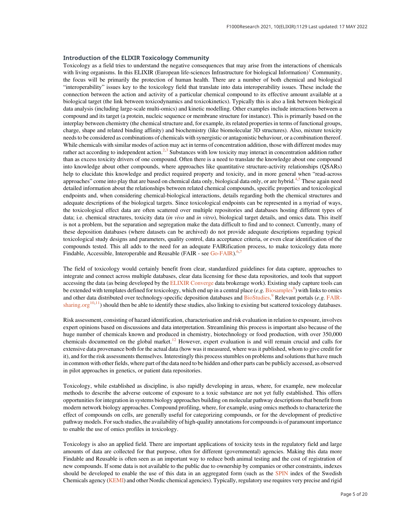#### Introduction of the ELIXIR Toxicology Community

Toxicology as a field tries to understand the negative consequences that may arise from the interactions of chemicals with living organisms. In this ELIXIR (European life-sciences Infrastructure for biological Information)<sup>[1](#page-13-0)</sup> Community, the focus will be primarily the protection of human health. There are a number of both chemical and biological "interoperability" issues key to the toxicology field that translate into data interoperability issues. These include the connection between the action and activity of a particular chemical compound to its effective amount available at a biological target (the link between toxicodynamics and toxicokinetics). Typically this is also a link between biological data analysis (including large-scale multi-omics) and kinetic modelling. Other examples include interactions between a compound and its target (a protein, nucleic sequence or membrane structure for instance). This is primarily based on the interplay between chemistry (the chemical structure and, for example, its related properties in terms of functional groups, charge, shape and related binding affinity) and biochemistry (like biomolecular 3D structures). Also, mixture toxicity needs to be considered as combinations of chemicals with synergistic or antagonistic behaviour, or a combination thereof. While chemicals with similar modes of action may act in terms of concentration addition, those with different modes may rather act according to independent action.<sup>[2,3](#page-13-0)</sup> Substances with low toxicity may interact in concentration addition rather than as excess toxicity drivers of one compound. Often there is a need to translate the knowledge about one compound into knowledge about other compounds, where approaches like quantitative structure-activity relationships (QSARs) help to elucidate this knowledge and predict required property and toxicity, and in more general when "read-across approaches" come into play that are based on chemical data only, biological data only, or are hybrid.<sup>[4,5](#page-13-0)</sup> These again need detailed information about the relationships between related chemical compounds, specific properties and toxicological endpoints and, when considering chemical-biological interactions, details regarding both the chemical structures and adequate descriptions of the biological targets. Since toxicological endpoints can be represented in a myriad of ways, the toxicological effect data are often scattered over multiple repositories and databases hosting different types of data; i.e. chemical structures, toxicity data (in vivo and in vitro), biological target details, and omics data. This itself is not a problem, but the separation and segregation make the data difficult to find and to connect. Currently, many of these deposition databases (where datasets can be archived) do not provide adequate descriptions regarding typical toxicological study designs and parameters, quality control, data acceptance criteria, or even clear identification of the compounds tested. This all adds to the need for an adequate FAIRification process, to make toxicology data more Findable, Accessible, Interoperable and Reusable (FAIR - see [Go-FAIR](https://www.go-fair.org/fair-principles/)).<sup>[6,7](#page-13-0)</sup>

The field of toxicology would certainly benefit from clear, standardized guidelines for data capture, approaches to integrate and connect across multiple databases, clear data licensing for these data repositories, and tools that support accessing the data (as being developed by the [ELIXIR Converge](https://elixir-europe.org/about-us/how-funded/eu-projects/converge) data brokerage work). Existing study capture tools can be extended with templates defined for toxicology, which end up in a central place (e.g. [Biosamples](https://www.ebi.ac.uk/biosamples/)<sup>[8](#page-13-0)</sup>) with links to omics and other data distributed over technology-specific deposition databases and [BioStudies](https://www.ebi.ac.uk/biostudies/).<sup>[9](#page-13-0)</sup> Relevant portals (e.g. [FAIR](http://FAIRsharing.org)[sharing.org](http://FAIRsharing.org)<sup>[10,11](#page-13-0)</sup>) should then be able to identify these studies, also linking to existing but scattered toxicology databases.

Risk assessment, consisting of hazard identification, characterisation and risk evaluation in relation to exposure, involves expert opinions based on discussions and data interpretation. Streamlining this process is important also because of the huge number of chemicals known and produced in chemistry, biotechnology or food production, with over 350,000 chemicals documented on the global market.<sup>[12](#page-13-0)</sup> However, expert evaluation is and will remain crucial and calls for extensive data provenance both for the actual data (how was it measured, where was it published, whom to give credit for it), and for the risk assessments themselves. Interestingly this process stumbles on problems and solutions that have much in common with other fields, where part of the data need to be hidden and other parts can be publicly accessed, as observed in pilot approaches in genetics, or patient data repositories.

Toxicology, while established as discipline, is also rapidly developing in areas, where, for example, new molecular methods to describe the adverse outcome of exposure to a toxic substance are not yet fully established. This offers opportunities for integration in systems biology approaches building on molecular pathway descriptions that benefit from modern network biology approaches. Compound profiling, where, for example, using omics methods to characterize the effect of compounds on cells, are generally useful for categorizing compounds, or for the development of predictive pathway models. For such studies, the availability of high-quality annotations for compounds is of paramount importance to enable the use of omics profiles in toxicology.

Toxicology is also an applied field. There are important applications of toxicity tests in the regulatory field and large amounts of data are collected for that purpose, often for different (governmental) agencies. Making this data more Findable and Reusable is often seen as an important way to reduce both animal testing and the cost of registration of new compounds. If some data is not available to the public due to ownership by companies or other constraints, indexes should be developed to enable the use of this data in an aggregated form (such as the [SPIN](http://spin2000.net/) index of the Swedish Chemicals agency [\(KEMI](https://kemi.se/en)) and other Nordic chemical agencies). Typically, regulatory use requires very precise and rigid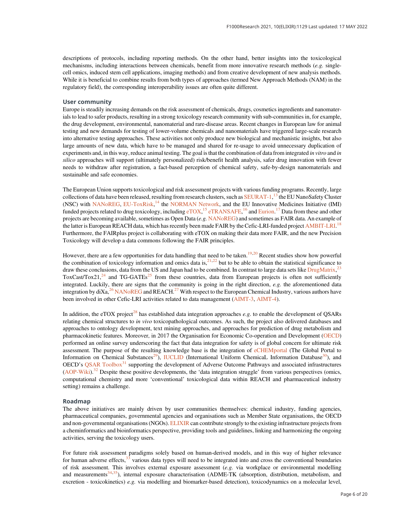descriptions of protocols, including reporting methods. On the other hand, better insights into the toxicological mechanisms, including interactions between chemicals, benefit from more innovative research methods  $(e.g.$  singlecell omics, induced stem cell applications, imaging methods) and from creative development of new analysis methods. While it is beneficial to combine results from both types of approaches (termed New Approach Methods (NAM) in the regulatory field), the corresponding interoperability issues are often quite different.

#### User community

Europe is steadily increasing demands on the risk assessment of chemicals, drugs, cosmetics ingredients and nanomaterials to lead to safer products, resulting in a strong toxicology research community with sub-communities in, for example, the drug development, environmental, nanomaterial and rare-disease areas. Recent changes in European law for animal testing and new demands for testing of lower-volume chemicals and nanomaterials have triggered large-scale research into alternative testing approaches. These activities not only produce new biological and mechanistic insights, but also large amounts of new data, which have to be managed and shared for re-usage to avoid unnecessary duplication of experiments and, in this way, reduce animal testing. The goal is that the combination of data from integrated in vitro and in silico approaches will support (ultimately personalized) risk/benefit health analysis, safer drug innovation with fewer needs to withdraw after registration, a fact-based perception of chemical safety, safe-by-design nanomaterials and sustainable and safe economies.

The European Union supports toxicological and risk assessment projects with various funding programs. Recently, large collections of data have been released, resulting from research clusters, such as [SEURAT-1](http://www.seurat-1.eu/),<sup>[13](#page-13-0)</sup> the EU NanoSafety Cluster (NSC) with [NANoREG](http://www.nanoreg.eu/), [EU-ToxRisk](https://www.eu-toxrisk.eu/),<sup>[14](#page-13-0)</sup> the [NORMAN Network,](https://www.norman-network.net/) and the EU Innovative Medicines Initiative (IMI) funded projects related to drug toxicology, including [eTOX](http://www.e-tox.net/),<sup>[15](#page-13-0)</sup> [eTRANSAFE](http://etransafe.eu/),<sup>[16](#page-13-0)</sup> and [Eurion.](https://eurion-cluster.eu/)<sup>[17](#page-13-0)</sup> Data from these and other projects are becoming available, sometimes as Open Data (e.g. [NANoREG\)](http://www.nanoreg.eu/) and sometimes as FAIR data. An example of the latter is European REACH data, which has recently been made FAIR by the Cefic-LRI-funded project [AMBIT-LRI](http://cefic-lri.org/toolbox/ambit/).<sup>[18](#page-13-0)</sup> Furthermore, the FAIRplus project is collaborating with eTOX on making their data more FAIR, and the new Precision Toxicology will develop a data commons following the FAIR principles.

However, there are a few opportunities for data handling that need to be taken.<sup>[19](#page-13-0),[20](#page-13-0)</sup> Recent studies show how powerful the combination of toxicology information and omics data is, $2^{1,22}$  $2^{1,22}$  $2^{1,22}$  but to be able to obtain the statistical significance to draw these conclusions, data from the US and Japan had to be combined. In contrast to large data sets like [DrugMatrix](https://ntp.niehs.nih.gov/data/drugmatrix/),<sup>[23](#page-13-0)</sup>  $ToxCast/Tox21<sup>24</sup>$  $ToxCast/Tox21<sup>24</sup>$  $ToxCast/Tox21<sup>24</sup>$  and TG-GATEs<sup>[25](#page-13-0)</sup> from these countries, data from European projects is often not sufficiently integrated. Luckily, there are signs that the community is going in the right direction, e.g. the aforementioned data integration by  $dXa$ ,<sup>[26](#page-13-0)</sup> [NANoREG](http://www.nanoreg.eu/) and REACH.<sup>[27](#page-13-0)</sup> With respect to the European Chemical Industry, various authors have been involved in other Cefic-LRI activities related to data management ([AIMT-3,](http://cefic-lri.org/projects/lri-aimt3-umdeco-data-integration-for-endpoints-chemoinformatics-and-omics/) [AIMT-4](http://cefic-lri.org/projects/aimt4-um-deco2-moving-from-deco-towards-oecd/)).

In addition, the eTOX project<sup>[28](#page-13-0)</sup> has established data integration approaches e.g. to enable the development of QSARs relating chemical structures to in vivo toxicopathological outcomes. As such, the project also delivered databases and approaches to ontology development, text mining approaches, and approaches for prediction of drug metabolism and pharmacokinetic features. Moreover, in 2017 the Organisation for Economic Co-operation and Development [\(OECD](http://www.oecd.org/)) performed an online survey underscoring the fact that data integration for safety is of global concern for ultimate risk assessment. The purpose of the resulting knowledge base is the integration of [eCHEMportal](https://www.echemportal.org/echemportal/) (The Global Portal to Information on Chemical Substances<sup>[29](#page-13-0)</sup>), [IUCLID](https://iuclid6.echa.europa.eu/) (International Uniform Chemical Information Database<sup>[30](#page-13-0)</sup>), and OECD's [QSAR Toolbox](https://qsartoolbox.org/)<sup>[31](#page-13-0)</sup> supporting the development of Adverse Outcome Pathways and associated infrastructures  $(AOP-Wiki).$  $(AOP-Wiki).$  $(AOP-Wiki).$ <sup>[32](#page-13-0)</sup> Despite these positive developments, the 'data integration struggle' from various perspectives (omics, computational chemistry and more 'conventional' toxicological data within REACH and pharmaceutical industry setting) remains a challenge.

#### Roadmap

The above initiatives are mainly driven by user communities themselves: chemical industry, funding agencies, pharmaceutical companies, governmental agencies and organisations such as Member State organisations, the OECD and non-governmental organisations (NGOs). [ELIXIR](https://elixir-europe.org/) can contribute strongly to the existing infrastructure projects from a cheminformatics and bioinformatics perspective, providing tools and guidelines, linking and harmonizing the ongoing activities, serving the toxicology users.

For future risk assessment paradigms solely based on human-derived models, and in this way of higher relevance for human adverse effects, $33$  various data types will need to be integrated into and cross the conventional boundaries of risk assessment. This involves external exposure assessment (e.g. via workplace or environmental modelling and measurements<sup>[34](#page-13-0),35</sup>), internal exposure characterisation (ADME-TK (absorption, distribution, metabolism, and excretion - toxicokinetics) e.g. via modelling and biomarker-based detection), toxicodynamics on a molecular level,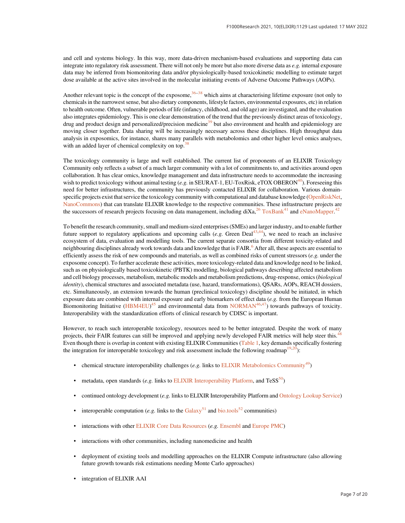and cell and systems biology. In this way, more data-driven mechanism-based evaluations and supporting data can integrate into regulatory risk assessment. There will not only be more but also more diverse data as e.g. internal exposure data may be inferred from biomonitoring data and/or physiologically-based toxicokinetic modelling to estimate target dose available at the active sites involved in the molecular initiating events of Adverse Outcome Pathways (AOPs).

Another relevant topic is the concept of the exposome,  $36-38$  $36-38$  $36-38$  which aims at characterising lifetime exposure (not only to chemicals in the narrowest sense, but also dietary components, lifestyle factors, environmental exposures, etc) in relation to health outcome. Often, vulnerable periods of life (infancy, childhood, and old age) are investigated, and the evaluation also integrates epidemiology. This is one clear demonstration of the trend that the previously distinct areas of toxicology, drug and product design and personalized/precision medicine<sup>[39](#page-13-0)</sup> but also environment and health and epidemiology are moving closer together. Data sharing will be increasingly necessary across these disciplines. High throughput data analysis in exposomics, for instance, shares many parallels with metabolomics and other higher level omics analyses, with an added layer of chemical complexity on top.<sup>38</sup>

The toxicology community is large and well established. The current list of proponents of an ELIXIR Toxicology Community only reflects a subset of a much larger community with a lot of commitments to, and activities around open collaboration. It has clear omics, knowledge management and data infrastructure needs to accommodate the increasing wish to predict toxicology without animal testing (e.g. in SEURAT-1, EU-ToxRisk, eTOX OBERON<sup>40</sup>). Foreseeing this need for better infrastructures, the community has previously contacted ELIXIR for collaboration. Various domain-specific projects exist that service the toxicology community with computational and database knowledge [\(OpenRiskNet,](http://www.openrisknet.org/) [NanoCommons\)](http://www.nanocommons.eu/) that can translate ELIXIR knowledge to the respective communities. These infrastructure projects are the successors of research projects focusing on data management, including  $dXa$ ,  $^{26}$  $^{26}$  $^{26}$  [ToxBank](http://www.toxbank.net/)<sup>[41](#page-13-0)</sup> and [eNanoMapper.](http://www.enanomapper.net/)<sup>[42](#page-14-0)</sup>

To benefit the research community, small and medium-sized enterprises (SMEs) and larger industry, and to enable further future support to regulatory applications and upcoming calls (e.g. Green Deal<sup>43,44</sup>), we need to reach an inclusive ecosystem of data, evaluation and modelling tools. The current separate consortia from different toxicity-related and neighbouring disciplines already work towards data and knowledge that is FAIR.<sup>[6](#page-13-0)</sup> After all, these aspects are essential to efficiently assess the risk of new compounds and materials, as well as combined risks of current stressors  $(e, g)$  under the exposome concept). To further accelerate these activities, more toxicology-related data and knowledge need to be linked, such as on physiologically based toxicokinetic (PBTK) modelling, biological pathways describing affected metabolism and cell biology processes, metabolism, metabolic models and metabolism predictions, drug-response, omics (biological identity), chemical structures and associated metadata (use, hazard, transformations), OSARs, AOPs, REACH dossiers, etc. Simultaneously, an extension towards the human (preclinical toxicology) discipline should be initiated, in which exposure data are combined with internal exposure and early biomarkers of effect data (e.g. from the European Human Biomonitoring Initiative [\(HBM4EU\)](https://www.hbm4eu.eu/)<sup>[45](#page-14-0)</sup> and environmental data from [NORMAN](http://www.norman-network.com/)<sup>46,47</sup>) towards pathways of toxicity. Interoperability with the standardization efforts of clinical research by CDISC is important.

However, to reach such interoperable toxicology, resources need to be better integrated. Despite the work of many projects, their FAIR features can still be improved and applying newly developed FAIR metrics will help steer this.<sup>[48](#page-14-0)</sup> Even though there is overlap in content with existing ELIXIR Communities ([Table 1](#page-7-0), key demands specifically fostering the integration for interoperable toxicology and risk assessment include the following roadmap<sup>19,20</sup>):

- chemical structure interoperability challenges (e.g. links to [ELIXIR Metabolomics Community](https://elixir-europe.org/communities/metabolomics)<sup>49</sup>)
- metadata, open standards (e.g. links to [ELIXIR Interoperability Platform](https://elixir-europe.org/platforms/interoperability), and  $T \text{eSS}^{50}$ )
- continued ontology development (e.g. links to ELIXIR Interoperability Platform and [Ontology Lookup Service](https://www.ebi.ac.uk/ols/index))
- interoperable computation (e.g. links to the [Galaxy](https://galaxyproject.org/community/)<sup>[51](#page-14-0)</sup> and [bio.tools](https://bio.tools/)<sup>[52](#page-14-0)</sup> communities)
- interactions with other [ELIXIR Core Data Resources](https://elixir-europe.org/platforms/data/core-data-resources) (e.g. [Ensembl](https://www.ensembl.org/index.html) and [Europe PMC](https://europepmc.org/))
- interactions with other communities, including nanomedicine and health
- deployment of existing tools and modelling approaches on the ELIXIR Compute infrastructure (also allowing future growth towards risk estimations needing Monte Carlo approaches)
- integration of ELIXIR AAI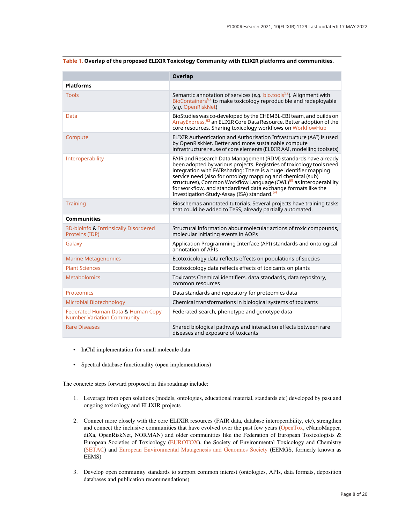|                                                                        | <b>Overlap</b>                                                                                                                                                                                                                                                                                                                                                                                                                                                                         |
|------------------------------------------------------------------------|----------------------------------------------------------------------------------------------------------------------------------------------------------------------------------------------------------------------------------------------------------------------------------------------------------------------------------------------------------------------------------------------------------------------------------------------------------------------------------------|
| <b>Platforms</b>                                                       |                                                                                                                                                                                                                                                                                                                                                                                                                                                                                        |
| <b>Tools</b>                                                           | Semantic annotation of services (e.g. $bio.tools^{52}$ ). Alignment with<br>BioContainers <sup>62</sup> to make toxicology reproducible and redeployable<br>(e.g. OpenRiskNet)                                                                                                                                                                                                                                                                                                         |
| Data                                                                   | BioStudies was co-developed by the CHEMBL-EBI team, and builds on<br>Array Express, <sup>63</sup> an ELIXIR Core Data Resource. Better adoption of the<br>core resources. Sharing toxicology workflows on WorkflowHub                                                                                                                                                                                                                                                                  |
| Compute                                                                | ELIXIR Authentication and Authorisation Infrastructure (AAI) is used<br>by OpenRiskNet. Better and more sustainable compute<br>infrastructure reuse of core elements (ELIXIR AAI, modelling toolsets)                                                                                                                                                                                                                                                                                  |
| Interoperability                                                       | FAIR and Research Data Management (RDM) standards have already<br>been adopted by various projects. Registries of toxicology tools need<br>integration with FAIRsharing; There is a huge identifier mapping<br>service need (also for ontology mapping and chemical (sub)<br>structures), Common Workflow Language (CWL) <sup>69</sup> as interoperability<br>for workflow, and standardized data exchange formats like the<br>Investigation-Study-Assay (ISA) standard. <sup>64</sup> |
| <b>Training</b>                                                        | Bioschemas annotated tutorials. Several projects have training tasks<br>that could be added to TeSS, already partially automated.                                                                                                                                                                                                                                                                                                                                                      |
| Communities                                                            |                                                                                                                                                                                                                                                                                                                                                                                                                                                                                        |
| 3D-bioinfo & Intrinsically Disordered<br>Proteins (IDP)                | Structural information about molecular actions of toxic compounds,<br>molecular initiating events in AOPs                                                                                                                                                                                                                                                                                                                                                                              |
| Galaxy                                                                 | Application Programming Interface (API) standards and ontological<br>annotation of APIs                                                                                                                                                                                                                                                                                                                                                                                                |
| <b>Marine Metagenomics</b>                                             | Ecotoxicology data reflects effects on populations of species                                                                                                                                                                                                                                                                                                                                                                                                                          |
| <b>Plant Sciences</b>                                                  | Ecotoxicology data reflects effects of toxicants on plants                                                                                                                                                                                                                                                                                                                                                                                                                             |
| <b>Metabolomics</b>                                                    | Toxicants Chemical identifiers, data standards, data repository,<br>common resources                                                                                                                                                                                                                                                                                                                                                                                                   |
| Proteomics                                                             | Data standards and repository for proteomics data                                                                                                                                                                                                                                                                                                                                                                                                                                      |
| Microbial Biotechnology                                                | Chemical transformations in biological systems of toxicants                                                                                                                                                                                                                                                                                                                                                                                                                            |
| Federated Human Data & Human Copy<br><b>Number Variation Community</b> | Federated search, phenotype and genotype data                                                                                                                                                                                                                                                                                                                                                                                                                                          |
| <b>Rare Diseases</b>                                                   | Shared biological pathways and interaction effects between rare<br>diseases and exposure of toxicants                                                                                                                                                                                                                                                                                                                                                                                  |

#### <span id="page-7-0"></span>Table 1. Overlap of the proposed ELIXIR Toxicology Community with ELIXIR platforms and communities.

- InChI implementation for small molecule data
- Spectral database functionality (open implementations)

The concrete steps forward proposed in this roadmap include:

- 1. Leverage from open solutions (models, ontologies, educational material, standards etc) developed by past and ongoing toxicology and ELIXIR projects
- 2. Connect more closely with the core ELIXIR resources (FAIR data, database interoperability, etc), strengthen and connect the inclusive communities that have evolved over the past few years ([OpenTox](https://www.opentox.net/), eNanoMapper, diXa, OpenRiskNet, NORMAN) and older communities like the Federation of European Toxicologists & European Societies of Toxicology [\(EUROTOX\)](http://www.eurotox.com/), the Society of Environmental Toxicology and Chemistry [\(SETAC\)](https://www.setac.org/page/SEAbout) and [European Environmental Mutagenesis and Genomics Society](https://www.eemgs.eu/) (EEMGS, formerly known as EEMS)
- 3. Develop open community standards to support common interest (ontologies, APIs, data formats, deposition databases and publication recommendations)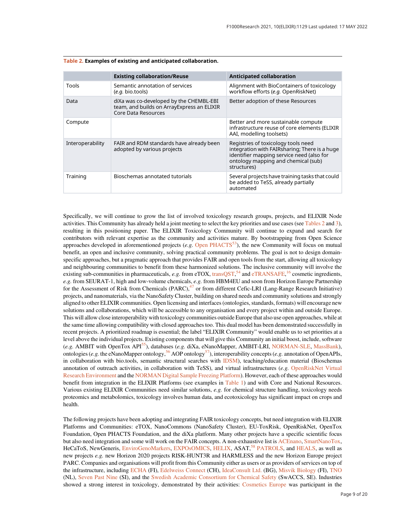|                  | <b>Existing collaboration/Reuse</b>                                                                          | <b>Anticipated collaboration</b>                                                                                                                                                        |
|------------------|--------------------------------------------------------------------------------------------------------------|-----------------------------------------------------------------------------------------------------------------------------------------------------------------------------------------|
| Tools            | Semantic annotation of services<br>$(e.g. \text{ bio.tools})$                                                | Alignment with BioContainers of toxicology<br>workflow efforts (e.g. OpenRiskNet)                                                                                                       |
| Data             | diXa was co-developed by the CHEMBL-EBI<br>team, and builds on ArrayExpress an ELIXIR<br>Core Data Resources | Better adoption of these Resources                                                                                                                                                      |
| Compute          |                                                                                                              | Better and more sustainable compute<br>infrastructure reuse of core elements (ELIXIR<br>AAI, modelling toolsets)                                                                        |
| Interoperability | FAIR and RDM standards have already been<br>adopted by various projects                                      | Registries of toxicology tools need<br>integration with FAIRsharing; There is a huge<br>identifier mapping service need (also for<br>ontology mapping and chemical (sub)<br>structures) |
| Training         | Bioschemas annotated tutorials                                                                               | Several projects have training tasks that could<br>be added to TeSS, already partially<br>automated                                                                                     |

#### Table 2. Examples of existing and anticipated collaboration.

Specifically, we will continue to grow the list of involved toxicology research groups, projects, and ELIXIR Node activities. This Community has already held a joint meeting to select the key priorities and use cases (see Tables 2 and [3\)](#page-9-0), resulting in this positioning paper. The ELIXIR Toxicology Community will continue to expand and search for contributors with relevant expertise as the community and activities mature. By bootstrapping from Open Science approaches developed in aforementioned projects (*e.g.* Open  $PHACTS<sup>53</sup>$ ), the new Community will focus on mutual benefit, an open and inclusive community, solving practical community problems. The goal is not to design domainspecific approaches, but a pragmatic approach that provides FAIR and open tools from the start, allowing all toxicology and neighbouring communities to benefit from these harmonized solutions. The inclusive community will involve the existing sub-communities in pharmaceuticals, *e.g.* from eTOX, [transQST,](http://transqst.org/)<sup>[54](#page-14-0)</sup> and [eTRANSAFE,](http://etransafe.eu/)<sup>[16](#page-13-0)</sup> cosmetic ingredients, e.g. from SEURAT-1, high and low-volume chemicals, e.g. from HBM4EU and soon from Horizon Europe Partnership for the Assessment of Risk from Chemicals  $(PARC)$ ,  $47$  or from different Cefic-LRI (Lang-Range Research Initiative) projects, and nanomaterials, via the NanoSafety Cluster, building on shared needs and community solutions and strongly aligned to other ELIXIR communities. Open licensing and interfaces (ontologies, standards, formats) will encourage new solutions and collaborations, which will be accessible to any organisation and every project within and outside Europe. This will allow close interoperability with toxicology communities outside Europe that also use open approaches, while at the same time allowing compatibility with closed approaches too. This dual model has been demonstrated successfully in recent projects. A prioritized roadmap is essential; the label "ELIXIR Community" would enable us to set priorities at a level above the individual projects. Existing components that will give this Community an initial boost, include, software (e.g. AMBIT with OpenTox API<sup>55</sup>), databases (e.g. diXa, eNanoMapper, AMBIT-LRI, [NORMAN-SLE,](https://www.norman-network.com/nds/SLE/) [MassBank\)](https://massbank.eu/MassBank/), ontologies (e.g. the eNanoMapper ontology,  $56$  AOP ontology $57$ ), interoperability concepts (e.g. annotation of OpenAPIs, in collaboration with bio.tools, semantic structural searches with [IDSM](https://idsm.elixir-czech.cz/)), teaching/education material (Bioschemas annotation of outreach activities, in collaboration with TeSS), and virtual infrastructures (e.g. [OpenRiskNet Virtual](https://openrisknet.org/e-infrastructure/) [Research Environment](https://openrisknet.org/e-infrastructure/) and the [NORMAN Digital Sample Freezing Platform\)](https://norman-data.net/). However, each of these approaches would benefit from integration in the ELIXIR Platforms (see examples in [Table 1](#page-7-0)) and with Core and National Resources. Various existing ELIXIR Communities need similar solutions, e.g. for chemical structure handling, toxicology needs proteomics and metabolomics, toxicology involves human data, and ecotoxicology has significant impact on crops and health.

The following projects have been adopting and integrating FAIR toxicology concepts, but need integration with ELIXIR Platforms and Communities: eTOX, NanoCommons (NanoSafety Cluster), EU-ToxRisk, OpenRiskNet, OpenTox Foundation, Open PHACTS Foundation, and the diXa platform. Many other projects have a specific scientific focus but also need integration and some will work on the FAIR concepts. A non-exhaustive list is [ACEnano,](http://www.acenano-project.eu/) [SmartNanoTox,](http://www.smartnanotox.eu/) HeCaToS, NewGeneris, [EnviroGenoMarkers,](http://www.envirogenomarkers.net/) [EXPOsOMICS,](https://exposomics-project.eu/live-exposome.pantheonsite.io/index.html) [HELIX,](https://www.projecthelix.eu/) ASAT.<sup>[58](#page-14-0)</sup> [PATROLS](https://www.patrols-h2020.eu/), and [HEALS](http://www.heals-eu.eu/), as well as new projects e.g. new Horizon 2020 projects RISK-HUNT3R and HARMLESS and the new Horizon Europe project PARC. Companies and organisations will profit from this Community either as users or as providers of services on top of the infrastructure, including [ECHA](https://echa.europa.eu/) (FI), [Edelweiss Connect](http://www.edelweissconnect.com/) (CH), [IdeaConsult Ltd.](https://www.ideaconsult.net/) (BG), [Misvik Biology](https://www.misvik.com/) (FI), [TNO](https://www.tno.nl/) (NL), [Seven Past Nine](https://sevenpastnine.com/) (SI), and the [Swedish Academic Consortium for Chemical Safety](https://www.swaccs.se/) (SwACCS, SE). Industries showed a strong interest in toxicology, demonstrated by their activities: [Cosmetics Europe](https://cosmeticseurope.eu/) was participant in the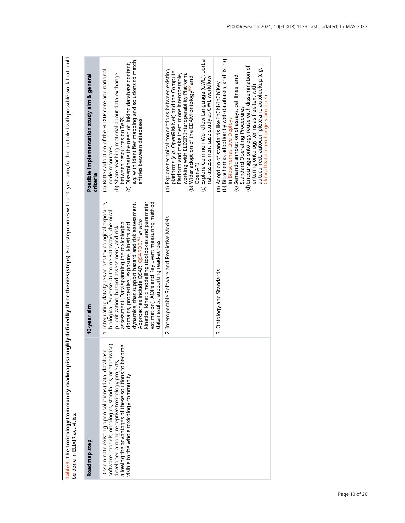<span id="page-9-0"></span><mark>Table 3. The Toxicology Community roadmap is roughly defined by three themes (steps). Each step comes with a 10-year aim, further detailed with possible work that could<br>be done in ELIXIR activities.</mark> Table 3. The Toxicology Community roadmap is roughly defined by three themes (steps). Each step comes with a 10-year aim, further detailed with possible work that could be done in ELIXIR activities.

| Roadmap step                                                                                                                                                                                                                                                         | 10-year aim                                                                                                                                                                                                                                                                                                                                                                                                                                                                                                                   | Possible implementation study aim & general<br>criteria                                                                                                                                                                                                                                                                                                                                                                  |  |
|----------------------------------------------------------------------------------------------------------------------------------------------------------------------------------------------------------------------------------------------------------------------|-------------------------------------------------------------------------------------------------------------------------------------------------------------------------------------------------------------------------------------------------------------------------------------------------------------------------------------------------------------------------------------------------------------------------------------------------------------------------------------------------------------------------------|--------------------------------------------------------------------------------------------------------------------------------------------------------------------------------------------------------------------------------------------------------------------------------------------------------------------------------------------------------------------------------------------------------------------------|--|
| software, models, ontologies, standards, or otherwise)<br>allowing the advantages of these solutions to become<br>visible to the whole toxicology community<br>Disseminate existing open solutions (data, database<br>developed among receptive toxicology projects, | 1. Integrating data types across toxicological exposure,<br>estimation), AOPs and Key Event measuring method<br>kinetics, kinetic modelling (toolboxes and parameter<br>dynamics, that support hazard and risk assessment.<br>biological, Adverse Outcome Pathways, chemical<br>Approaches include QSAR, QSARDB, <sup>65</sup> in vitro<br>assessment. Data spanning the toxicological<br>domains, properties, exposure, kinetics and<br>prioritization, hazard assessment, and risk<br>data results, supporting read-across. | e.g. with identifier mapping and solutions to match<br>(c) Disseminate the need of linking database content,<br>(a) Better adoption of the ELIXIR core and national<br>(b) Share teaching material about data exchange<br>between resources on TeSS<br>entries between databases<br>node resources.                                                                                                                      |  |
|                                                                                                                                                                                                                                                                      | 2. Interoperable Software and Predictive Models                                                                                                                                                                                                                                                                                                                                                                                                                                                                               | (c) Explore Common Workflow Language (CWL), port a<br>(a) Explore technical connections between existing<br>platforms (e.g. OpenRiskNet) and the Compute<br>Platform and make them more interoperable,<br>working with ELIXIR Interoperability Platform.<br>(b) Wider adoption of the EDAM ontology <sup>oo</sup> and<br>risk assessment case study as CWL workflow<br>OpenAPI                                           |  |
|                                                                                                                                                                                                                                                                      | 3. Ontology and Standards                                                                                                                                                                                                                                                                                                                                                                                                                                                                                                     | (b) Bioschemas adoption by web databases, and listing<br>(d) Encourage ontology reuse with dissemination of<br>autocorrect, autocomplete and autolookup (e.g.<br>(c) Semantic annotation of assays, cell lines, and<br>(a) Adoption of standards like InChI/InChIKey<br>entering ontology terms as free text with<br>Clinical Data Interchange Standards)<br>Standard Operating Procedures<br>in Bioschemas Live Deploys |  |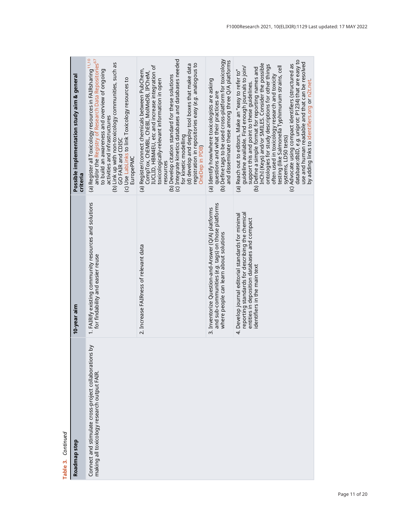| <b>Continued</b><br>い。<br>numer                                                                      |                                                                                                                                                                                       |                                                                                                                                                                                                                                                                                                                                                                                                                                                                                                                                                                                                                                                                                                |
|------------------------------------------------------------------------------------------------------|---------------------------------------------------------------------------------------------------------------------------------------------------------------------------------------|------------------------------------------------------------------------------------------------------------------------------------------------------------------------------------------------------------------------------------------------------------------------------------------------------------------------------------------------------------------------------------------------------------------------------------------------------------------------------------------------------------------------------------------------------------------------------------------------------------------------------------------------------------------------------------------------|
| Roadmap step                                                                                         | 10-year aim                                                                                                                                                                           | Possible implementation study aim & general<br>criteria                                                                                                                                                                                                                                                                                                                                                                                                                                                                                                                                                                                                                                        |
| Connect and stimulate cross-project collaborations by<br>making all toxicology research output FAIR. | 1. FAIRify existing community resources and solutions<br>for findability and easier reuse                                                                                             | (a) Register all Toxicology resources in FAIRsharing <sup>11,10</sup><br>and/or the Registry of Research Data Repositories <sup>67</sup><br>(b) Link up with non-toxicology communities, such as<br>to build an awareness and overview of ongoing<br>(c) Use LabLinks to link Toxicology resources to<br>activities and infrastructures<br>GO FAIR and CDISC<br>EuropePMC                                                                                                                                                                                                                                                                                                                      |
|                                                                                                      | 2. Increase FAIRness of relevant data                                                                                                                                                 | (c) Integrate kinetics databases and databases needed<br>registration in repositories easy ( <i>e.g.</i> analogous to<br>(d) develop and deploy tool boxes that make data<br>IUCLID, HBM4EU, etc and increase integration of<br>(a) Register/connect chemicals between PubChem,<br>CompTox, ChEMBL, ChEBI, MoIMeDB, IPCheM,<br>(b) Develop citation standard for these solutions<br>toxicologically-relevant information in open<br>for kinetic modelling<br>OneDep in PDB)<br>resources                                                                                                                                                                                                       |
|                                                                                                      | and sub-communities (e.g. tags) on those platforms<br>3. Inventorize Question-and-Answer (Q/A) platforms<br>where people can learn about solutions                                    | (b) Define tags to be used cross-platform for toxicology<br>and disseminate these among three Q/A platforms<br>(a) Identify how/where toxicologists are asking<br>questions and what their practices are                                                                                                                                                                                                                                                                                                                                                                                                                                                                                       |
|                                                                                                      | reporting standards for describing the chemical<br>4. Develop journal editorial standards for minimal<br>entities in deposition databases and compact<br>identifiers in the main text | Advocate using compact identifiers (structured as<br>database:dbID, <i>e.g</i> . uniprot: P1234) that are easy to<br>use and human readable and that can be resolved<br>InChI (Keys) and/or SMILES. Consider the possible<br>ontologies for study descriptions for other things<br>guideline available. Find enough journals to join/<br>testing (like Salmonella Typhimurium strains, cell<br>systems, LD50 tests)<br>(b) Define a simple format for reporting names and<br>(a) Reach out to editors. Make an "easy to refer to"<br>often used in toxicology research and toxicity<br>by adding links to identifiers.org or n2t.net<br>support this and point to these guidelines.<br>$\odot$ |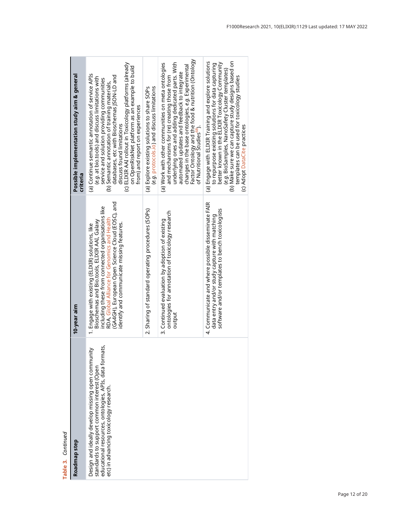| Table 3. Continued                                                                                                                                                                                      |                                                                                                                                                                                                                                                                                                         |                                                                                                                                                                                                                                                                                                                                                                                                                                 |
|---------------------------------------------------------------------------------------------------------------------------------------------------------------------------------------------------------|---------------------------------------------------------------------------------------------------------------------------------------------------------------------------------------------------------------------------------------------------------------------------------------------------------|---------------------------------------------------------------------------------------------------------------------------------------------------------------------------------------------------------------------------------------------------------------------------------------------------------------------------------------------------------------------------------------------------------------------------------|
| Roadmap step                                                                                                                                                                                            | 10-year aim                                                                                                                                                                                                                                                                                             | Possible implementation study aim & general<br>criteria                                                                                                                                                                                                                                                                                                                                                                         |
| educational resources, ontologies, APIs, data formats,<br>≽<br>Design and ideally develop missing open communit<br>standards to support common interest (Open<br>etc) in advancing toxicology research. | (GA4GH), European Open Science Cloud (EOSC), and<br>including these from connected organisations like<br>RDA, Global Alliance for Genomics and Health<br>Bioschemas and Bio.tools, ELIXIR AAI, Galaxy<br>identify and communicate missing features.<br>1. Engage with existing (ELIXIR) solutions, like | (c) ELIXIR AAI rollout in Toxicology platforms (already<br>on OpenRiskNet platform as an example to build<br>(a) Continue semantic annotation of service APIs<br>databases, etc with Bioschemas JSON-LD and<br>(e.g. at bio.tools) and discuss limitations with<br>service and solution providing communities<br>(b) Semantic annotation of training materials,<br>from) and report on experiences<br>discuss found limitations |
|                                                                                                                                                                                                         | 2. Sharing of standard operating procedures (SOPs)                                                                                                                                                                                                                                                      | (e.g. protocols.io) and discuss limitations<br>(a) Explore existing solutions to share SOPs                                                                                                                                                                                                                                                                                                                                     |
|                                                                                                                                                                                                         | ontologies for annotation of toxicology research<br>3. Continued evaluation by adoption of existing<br>output                                                                                                                                                                                           | Factor Ontology and the food & nutrition (Ontology<br>underlying ones and adding dedicated parts. With<br>(a) Work with other communities on meta ontologies<br>changes in the base ontologies, e.g. Experimental<br>automated updates and feedback to integrate<br>and mechanisms for (re) creating those from<br>of Nutritional Studies <sup>68</sup> ).                                                                      |
|                                                                                                                                                                                                         | 4. Communicate and where possible disseminate FAIR<br>software and/or templates to bench toxicologists<br>data entry and/or study capture with matching                                                                                                                                                 | (b) Make sure we can capture study designs based on<br>(a) Engage with ELIXIR Training and explore solutions<br>better known in the ELIXIR Toxicology Community<br>to repurpose existing solutions for data capturing<br>(e.g. BioSamples, NanoSafety Cluster templates)<br>templates can be used for toxicology studies<br>(c) Adopt DataCite practices                                                                        |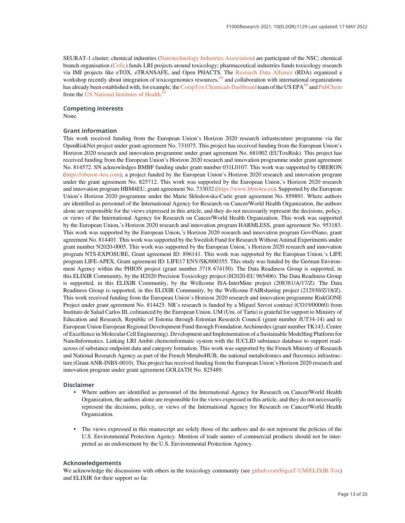SEURAT-1 cluster; chemical industries ([Nanotechnology Industries Association](https://nanotechia.org/)) are participant of the NSC; chemical branch organisation ([Cefic\)](https://cefic.org/) funds LRI projects around toxicology; pharmaceutical industries funds toxicology research via IMI projects like eTOX, eTRANSAFE, and Open PHACTS. The [Research Data Alliance](https://www.rd-alliance.org/) (RDA) organized a workshop recently about integration of toxicogenomics resources,<sup>[59](#page-14-0)</sup> and collaboration with international organizations has already been established with, for example, the [CompTox Chemicals Dashboard](https://comptox.epa.gov/dashboard) team of the US EPA<sup>60</sup> and [PubChem](https://pubchem.ncbi.nlm.nih.gov/) from the [US National Institutes of Health.](https://www.ncbi.nlm.nih.gov/)<sup>[61](#page-14-0)</sup>

#### Competing interests

None.

#### Grant information

This work received funding from the European Union's Horizon 2020 research infrastrcuture programme via the OpenRiskNet project under grant agreement No. 731075. This project has received funding from the European Union's Horizon 2020 research and innovation programme under grant agreement No. 681002 (EUToxRisk). This project has received funding from the European Union's Horizon 2020 research and innovation programme under grant agreement No. 814572. SN acknowledges BMBF funding under grant number 031L0107. This work was supported by OBERON (<https://oberon-4eu.com>), a project funded by the European Union's Horizon 2020 research and innovation program under the grant agreement No. 825712. This work was supported by the European Union,'s Horizon 2020 research and innovation program HBM4EU, grant agreement No. 733032 [\(https://www.hbm4eu.eu](https://www.hbm4eu.eu)). Supported by the European Union's Horizon 2020 programme under the Marie Skłodowska-Curie grant agreement No. 859891. Where authors are identified as personnel of the International Agency for Research on Cancer/World Health Organization, the authors alone are responsible for the views expressed in this article, and they do not necessarily represent the decisions, policy, or views of the International Agency for Research on Cancer/World Health Organization. This work was supported by the European Union,'s Horizon 2020 research and innovation program HARMLESS, grant agreement No. 953183. This work was supported by the European Union,'s Horizon 2020 research and innovation program Gov4Nano, grant agreement No. 814401. This work was supported by the Swedish Fund for Research Without Animal Experiments under grant number N2020-0005. This work was supported by the European Union,'s Horizon 2020 research and innovation program NTS-EXPOSURE, Grant agreement ID: 896141. This work was supported by the European Union,'s LIFE program LIFE-APEX, Grant agreement ID: LIFE17 ENV/SK/000355. This study was funded by the German Environment Agency within the PHION project (grant number 3718 674150). The Data Readiness Group is supported, in this ELIXIR Community, by the H2020 Precision Toxicology project (H2020-EU 965406). The Data Readiness Group is supported, in this ELIXIR Community, by the Wellcome ISA-InterMine project (208381/A/17/Z). The Data Readiness Group is supported, in this ELIXIR Community, by the Wellcome FAIRsharing project (212930/Z/18/Z). This work received funding from the European Union's Horizon 2020 research and innovation programme RiskGONE Project under grant agreement No. 814425. NR's research is funded by a Miguel Servet contract (CO19/00060) from Instituto de Salud Carlos III, cofinanced by the European Union. UM (Uni. of Tartu) is grateful for support to Ministry of Education and Research, Republic of Estonia through Estonian Research Council (grant number IUT34-14) and to European Union European Regional Development Fund through Foundation Archimedes (grant number TK143, Centre of Excellence in Molecular Cell Engineering). Development and Implementation of a Sustainable Modelling Platform for NanoInformatics. Linking LRI Ambit chemoinformatic system with the IUCLID substance database to support readacross of substance endpoint data and category formation. This work was supported by the French Ministry of Research and National Research Agency as part of the French MetaboHUB, the national metabolomics and fluxomics infrastructure (Grant ANR-INBS-0010). This project has received funding from the European Union's Horizon 2020 research and innovation program under grant agreement GOLIATH No. 825489.

#### Disclaimer

- Where authors are identified as personnel of the International Agency for Research on Cancer/World Health Organization, the authors alone are responsible for the views expressed in this article, and they do not necessarily represent the decisions, policy, or views of the International Agency for Research on Cancer/World Health Organization.
- The views expressed in this manuscript are solely those of the authors and do not represent the policies of the U.S. Environmental Protection Agency. Mention of trade names of commercial products should not be interpreted as an endorsement by the U.S. Environmental Protection Agency.

#### Acknowledgements

We acknowledge the discussions with others in the toxicology community (see [github.com/bigcaT-UM/ELIXIR-Tox](http://github.com/bigcaT-UM/ELIXIR-Tox)) and ELIXIR for their support so far.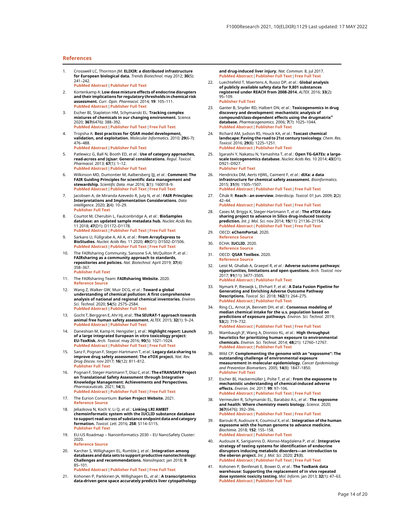#### <span id="page-13-0"></span>References

- 1. Crosswell LC, Thornton JM: ELIXIR: a distributed infrastructure for European biological data. Trends Biotechnol. may 2012; 30(5): 241–242. [PubMed Abstract](http://www.ncbi.nlm.nih.gov/pubmed/22417641)[|](https://doi.org/10.1016/j.tibtech.2012.02.002)[Publisher Full Text](https://doi.org/10.1016/j.tibtech.2012.02.002)
- 2. Kortenkamp A: Low dose mixture effects of endocrine disrupters and their implications for regulatory thresholds in chemical risk<br>assessment. *Curr. Opin. Pharmacol. 2*014; 19: 105–111. [PubMed Abstract](http://www.ncbi.nlm.nih.gov/pubmed/25244397)[|](https://doi.org/10.1016/j.coph.2014.08.006)[Publisher Full Text](https://doi.org/10.1016/j.coph.2014.08.006)
- 3. Escher BI, Stapleton HM, Schymanski EL: **Tracking complex**<br>mi**xtures of chemicals in our changing environment.** Science. 2020; 367(6476): 388–392. [PubMed Abstract](http://www.ncbi.nlm.nih.gov/pubmed/31974244)[|](https://doi.org/10.1126/science.aay6636)[Publisher Full Text](https://doi.org/10.1126/science.aay6636)[|](http://www.ncbi.nlm.nih.gov/pmc/articles/PMC7153918)[Free Full Text](http://www.ncbi.nlm.nih.gov/pmc/articles/PMC7153918)
- 4. Tropsha A: **Best practices for QSAR model development,**<br>**validation, and exploitation.** Molecular Informatics. 2010; **29**(6-7): 476–488. [PubMed Abstract](http://www.ncbi.nlm.nih.gov/pubmed/27463326)[|](https://doi.org/10.1002/minf.201000061)[Publisher Full Text](https://doi.org/10.1002/minf.201000061)
- 5. Patlewicz G, Ball N, Booth ED, et al.: Use of category approaches, read-across and (q)sar: General considerations. Regul. Toxicol. Pharmacol. 2013; 67(1): 1-12. [PubMed Abstract](http://www.ncbi.nlm.nih.gov/pubmed/23764304)[|](https://doi.org/10.1016/j.yrtph.2013.06.002)[Publisher Full Text](https://doi.org/10.1016/j.yrtph.2013.06.002)
- 6. Wilkinson MD, Dumontier M, Aalbersberg IJJ, et al.: Comment: The FAIR Guiding Principles for scientific data management and stewardship. Scientific Data. mar 2016; 3(1): 160018-9. [PubMed Abstract](http://www.ncbi.nlm.nih.gov/pubmed/26978244)[|](https://doi.org/10.1038/sdata.2016.18)[Publisher Full Text](https://doi.org/10.1038/sdata.2016.18)[|](http://www.ncbi.nlm.nih.gov/pmc/articles/PMC4792175)[Free Full Text](http://www.ncbi.nlm.nih.gov/pmc/articles/PMC4792175)
- 7. Jacobsen A, de Miranda Azevedo R, Juty N, et al.: FAIR Principles: Interpretations and Implementation Considerations. Data intelligence. 2020; 2(4): 10–29. [Publisher Full Text](https://doi.org/10.1162/dint_r_00024)
- 8. Courtot M, Cherubin L, Faulconbridge A, et al.: BioSamples database: an updated sample metadata hub. Nucleic Acids Res. 11 2018; 47(D1): D1172–D1178. [PubMed Abstract](http://www.ncbi.nlm.nih.gov/pubmed/30407529)[|](https://doi.org/10.1093/nar/gky1061)[Publisher Full Text](https://doi.org/10.1093/nar/gky1061)[|](http://www.ncbi.nlm.nih.gov/pmc/articles/PMC6323949)[Free Full Text](http://www.ncbi.nlm.nih.gov/pmc/articles/PMC6323949)
- 9. Sarkans U, Füllgrabe A, Ali A, et al.: From ArrayExpress to BioStudies. Nucleic Acids Res. 11 2020; 49(D1): D1502–D1506. [PubMed Abstract](http://www.ncbi.nlm.nih.gov/pubmed/33211879)[|](https://doi.org/10.1093/nar/gkaa1062)[Publisher Full Text](https://doi.org/10.1093/nar/gkaa1062)[|](http://www.ncbi.nlm.nih.gov/pmc/articles/PMC7778911)[Free Full Text](http://www.ncbi.nlm.nih.gov/pmc/articles/PMC7778911)
- 10. The FAIRsharing Community, Sansone S-A, McQuilton P, et al.: FAIRsharing as a community approach to standards,<br>repositories and policies. Nat. Biotechnol. April 2019; **37**(4): 358–367. [Publisher Full Text](https://doi.org/10.1038/s41587-019-0080-8)
- 11. The FAIRsharing Team: FAIRsharing Website. 2020. [Reference Source](https://fairsharing.org/)
- 12. Wang Z, Walker GW, Muir DCG, et al.: Toward a global understanding of chemical pollution: A first comprehensive analysis of national and regional chemical inventories. Environ. Sci. Technol. 2020; **54**(5): 2575–2584.<br>**[PubMed Abstract](http://www.ncbi.nlm.nih.gov/pubmed/31968937) [|](https://doi.org/10.1021/acs.est.9b06379) [Publisher Full Text](https://doi.org/10.1021/acs.est.9b06379)**
- 13. Gocht T, Berggren E, Ahr HJ, et al.: The SEURAT-1 approach towards animal free human safety assessment. ALTEX. 2015; 32(1): 9–24. [PubMed Abstract](http://www.ncbi.nlm.nih.gov/pubmed/25372315)[|](https://doi.org/10.14573/altex.1408041)[Publisher Full Text](https://doi.org/10.14573/altex.1408041)
- 14. Daneshian M, Kamp H, Hengstler J, et al.: Highlight report: Launch of a large integrated European in vitro toxicology project: EU-ToxRisk. *Arch. Toxicol.* may 2016; 90(5): 1021–1024.<br><mark>[PubMed Abstract](http://www.ncbi.nlm.nih.gov/pubmed/27017488) [|](http://www.ncbi.nlm.nih.gov/pmc/articles/PMC4830874) [Publisher Full Text](https://doi.org/10.1007/s00204-016-1698-7) | [Free Full Text](http://www.ncbi.nlm.nih.gov/pmc/articles/PMC4830874)</mark>
- 15. Sanz F, Pognan F, Steger-Hartmann T, *et al.*: **Legacy data sharing to**<br>improve drug safety assessment: The eTOX project. *Nat. Rev.<br>Drug Discov. nov 2017; 16(12): 811–812.* [Publisher Full Text](https://doi.org/10.1038/nrd.2017.177)
- 16. Pognan F, Steger-Hartmann T, Díaz C, et al.: The eTRANSAFE Project on Translational Safety Assessment through Integrative Knowledge Management: Achievements and Perspectives. Pharmaceuticals. 2021; 14(3). [PubMed Abstract](http://www.ncbi.nlm.nih.gov/pubmed/33800393)[|](https://doi.org/10.3390/ph14030237)[Publisher Full Text](https://doi.org/10.3390/ph14030237)[|](http://www.ncbi.nlm.nih.gov/pmc/articles/PMC7999019)[Free Full Text](http://www.ncbi.nlm.nih.gov/pmc/articles/PMC7999019)
- 17. The Eurion Consortium: Eurion Project Website. 2021. [Reference Source](https://eurion-cluster.eu/)
- 18. Jeliazkova N, Koch V, Li Q, et al.: Linking LRI AMBIT chemoinformatic system with the IUCLID substance database to support read-across of substance endpoint data and category formation. Toxicol. Lett. 2016; 258: S114–S115. [Publisher Full Text](https://doi.org/10.1016/j.toxlet.2016.06.1469)
- 19. EU-US Roadmap Nanoinformatics 2030 EU NanoSafety Cluster: 2020. [Reference Source](https://www.nanosafetycluster.eu/outputs/eu-us-roadmap-nanoinformatics-2030/)
- 20. Karcher S, Willighagen EL, Rumble J, et al.: Integration among databases and data sets to support productive nanotechnology:<br>Challenges and recommendations. *NanoImpact.* jan 2018; 9: 85–101.

[PubMed Abstract](http://www.ncbi.nlm.nih.gov/pubmed/30246165)[|](https://doi.org/10.1016/j.impact.2017.11.002)[Publisher Full Text](https://doi.org/10.1016/j.impact.2017.11.002)[|](http://www.ncbi.nlm.nih.gov/pmc/articles/PMC6145474)[Free Full Text](http://www.ncbi.nlm.nih.gov/pmc/articles/PMC6145474)

21. Kohonen P, Parkkinen JA, Willighagen EL, et al.: A transcriptomics data-driven gene space accurately predicts liver cytopathology and drug-induced liver injury. Nat. Commun. 8, jul 2017. [PubMed Abstract](http://www.ncbi.nlm.nih.gov/pubmed/28671182)[|](https://doi.org/10.1038/ncomms15932)[Publisher Full Text](https://doi.org/10.1038/ncomms15932)[|](http://www.ncbi.nlm.nih.gov/pmc/articles/PMC5500850)[Free Full Text](http://www.ncbi.nlm.nih.gov/pmc/articles/PMC5500850)

- 22. Luechtefeld T, Maertens A, Russo DP, et al.: Global analysis of publicly available safety data for 9,801 substances registered under REACH from 2008-2014. ALTEX. 2016; 33(2): 95–109. [Publisher Full Text](https://doi.org/10.14573/altex.1510052)
- 23. Ganter B, Snyder RD, Halbert DN, et al.: Toxicogenomics in drug discovery and development: mechanistic analysis of<br>compound/class-dependent effects using the drugmatrix<sup>®</sup> database. Pharmacogenomics. 2006; 7(7): 1025–1044. [PubMed Abstract](http://www.ncbi.nlm.nih.gov/pubmed/17054413)[|](https://doi.org/10.2217/14622416.7.7.1025)[Publisher Full Text](https://doi.org/10.2217/14622416.7.7.1025)
- 24. Richard AM, Judson RS, Houck KA, *et al.*: **Toxcast chemical**<br>l**andscape: Paving the road to 21st century toxicology.** *Chem. Res.* Toxicol. 2016; 29(8): 1225–1251. [PubMed Abstract](http://www.ncbi.nlm.nih.gov/pubmed/27367298)[|](https://doi.org/10.1021/acs.chemrestox.6b00135)[Publisher Full Text](https://doi.org/10.1021/acs.chemrestox.6b00135)
- 25. Igarashi Y, Nakatsu N, Yamashita T, et al.: Open TG-GATEs: a largescale toxicogenomics database. Nucleic Acids Res. 10 2014; 43(D1): D921–D927. [Publisher Full Text](https://doi.org/10.1093/nar/gku955)
- 26. Hendrickx DM, Aerts HJWL, Caiment F, et al.: diXa: a data infrastructure for chemical safety assessment. Bioinformatics. 2015; 31(9): 1505–1507. [PubMed Abstract](http://www.ncbi.nlm.nih.gov/pubmed/25505093)[|](https://doi.org/10.1093/bioinformatics/btu827)[Publisher Full Text](https://doi.org/10.1093/bioinformatics/btu827)[|](http://www.ncbi.nlm.nih.gov/pmc/articles/PMC4410652)[Free Full Text](http://www.ncbi.nlm.nih.gov/pmc/articles/PMC4410652)
- 27. Čihák R: Reach an overview. Interdiscip. Toxicol. 01 Jun. 2009: 2(2): 42–44.
- [PubMed Abstract](http://www.ncbi.nlm.nih.gov/pubmed/21217844)[|](https://doi.org/10.2478/v10102-009-0007-1)[Publisher Full Text](https://doi.org/10.2478/v10102-009-0007-1)[|](http://www.ncbi.nlm.nih.gov/pmc/articles/PMC2984102)[Free Full Text](http://www.ncbi.nlm.nih.gov/pmc/articles/PMC2984102) 28. Cases M, Briggs K, Steger-Hartmann T, et al.: The eTOX data-
- sharing project to advance in Silico drug-induced toxicity prediction. Int. J. Mol. Sci. nov 2014; 15(11): 21136–21154. [PubMed Abstract](http://www.ncbi.nlm.nih.gov/pubmed/25405742)[|](https://doi.org/10.3390/ijms151121136)[Publisher Full Text](https://doi.org/10.3390/ijms151121136)[|](http://www.ncbi.nlm.nih.gov/pmc/articles/PMC4264217)[Free Full Text](http://www.ncbi.nlm.nih.gov/pmc/articles/PMC4264217)
- 29. OECD: eChemPortal. 2020. [Reference Source](https://www.echemportal.org/echemportal/)
- 30. ECHA: IUCLID. 2020. [Reference Source](https://iuclid6.echa.europa.eu/home)
- 31. OECD: QSAR Toolbox. 2020. [Reference Source](https://qsartoolbox.org/)
- 32. Leist M, Ghallab A, Graepel R, *et al.*: **Adverse outcome pathways:**<br>opportunities, limitations and open questions. Arch. Toxicol. nov 2017; 91(11): 3477–3505. [PubMed Abstract](http://www.ncbi.nlm.nih.gov/pubmed/29051992)[|](https://doi.org/10.1007/s00204-017-2045-3)[Publisher Full Text](https://doi.org/10.1007/s00204-017-2045-3)
- 33. Nymark P, Rieswijk L, Ehrhart F, et al.: A Data Fusion Pipeline for Generating and Enriching Adverse Outcome Pathway Descriptions. Toxicol. Sci. 2018; 162(1): 264–275. [PubMed Abstract](http://www.ncbi.nlm.nih.gov/pubmed/29149350)[|](https://doi.org/10.1093/toxsci/kfx252)[Publisher Full Text](https://doi.org/10.1093/toxsci/kfx252)
- 34. Ring CL, Arnot JA, Bennett DH, et al.: Consensus modeling of median chemical intake for the u.s. population based on predictions of exposure pathways. Environ. Sci. Technol. 2019; 53(2): 719–732. [PubMed Abstract](http://www.ncbi.nlm.nih.gov/pubmed/30516957)[|](https://doi.org/10.1021/acs.est.8b04056)[Publisher Full Text](https://doi.org/10.1021/acs.est.8b04056)[|](http://www.ncbi.nlm.nih.gov/pmc/articles/PMC6690061)[Free Full Text](http://www.ncbi.nlm.nih.gov/pmc/articles/PMC6690061)
- Wambaugh JF, Wang A, Dionisio KL, et al.: High throughput heuristics for prioritizing human exposure to environmental chemicals. Environ. Sci. Technol. 2014; 48(21): 12760–12767. [PubMed Abstract](http://www.ncbi.nlm.nih.gov/pubmed/25343693)[|](https://doi.org/10.1021/es503583j)[Publisher Full Text](https://doi.org/10.1021/es503583j)
- 36. Wild CP: Complementing the genome with an "exposome": The outstanding challenge of environmental exposure<br>measurement in molecular epidemiology. Cancer Epidemiology<br>and Prevention Biomarkers. 2005; 14(8): 1847–1850. [Publisher Full Text](https://doi.org/10.1158/1055-9965.EPI-05-0456)
- 37. Escher BI, Hackermüller J, Polte T, et al.: From the exposome to mechanistic understanding of chemical-induced adverse effects. Environ. Int. 2017; 99: 97–106. [PubMed Abstract](http://www.ncbi.nlm.nih.gov/pubmed/27939949)[|](https://doi.org/10.1016/j.envint.2016.11.029)[Publisher Full Text](https://doi.org/10.1016/j.envint.2016.11.029)[|](http://www.ncbi.nlm.nih.gov/pmc/articles/PMC6116522)[Free Full Text](http://www.ncbi.nlm.nih.gov/pmc/articles/PMC6116522)
- 38. Vermeulen R, Schymanski EL, Barabási A-L, et al.: The exposome and health: Where chemistry meets biology. Science. 2020; 367(6476): 392–396. [PubMed Abstract](http://www.ncbi.nlm.nih.gov/pubmed/31974245)[|](https://doi.org/10.1126/science.aay3164)[Publisher Full Text](https://doi.org/10.1126/science.aay3164)[|](http://www.ncbi.nlm.nih.gov/pmc/articles/PMC7227413)[Free Full Text](http://www.ncbi.nlm.nih.gov/pmc/articles/PMC7227413)
- 39. Barouki R, Audouze K, Coumoul X, et al.: Integration of the human exposome with the human genome to advance medicine. Biochimie. 2018; 152: 155–158. [PubMed Abstract](http://www.ncbi.nlm.nih.gov/pubmed/29960033)[|](https://doi.org/10.1016/j.biochi.2018.06.023)[Publisher Full Text](https://doi.org/10.1016/j.biochi.2018.06.023)
- 40. Audouze K, Sarigiannis D, Alonso-Magdalena P, et al.: Integrative strategy of testing systems for identification of endocrine disruptors inducing metabolic disorders—an introduction to<br>the oberon project. *Int. J. Mol. Sci.* 2020; 21(8).<br><mark>[PubMed Abstract](http://www.ncbi.nlm.nih.gov/pubmed/32340264)[|](http://www.ncbi.nlm.nih.gov/pmc/articles/PMC7216143)[Publisher Full Text](https://doi.org/10.3390/ijms21082988)|[Free Full Text](http://www.ncbi.nlm.nih.gov/pmc/articles/PMC7216143)</mark>
- 41. Kohonen P, Benfenati E, Bower D, et al.: The ToxBank data warehouse: Supporting the replacement of in vivo repeated dose systemic toxicity testing. *Mol. Inform.* jan 2013; **32**(1): 47–63.<br><mark>[PubMed Abstract](http://www.ncbi.nlm.nih.gov/pubmed/27481023) [|](https://doi.org/10.1002/minf.201200114) [Publisher Full Text](https://doi.org/10.1002/minf.201200114)</mark>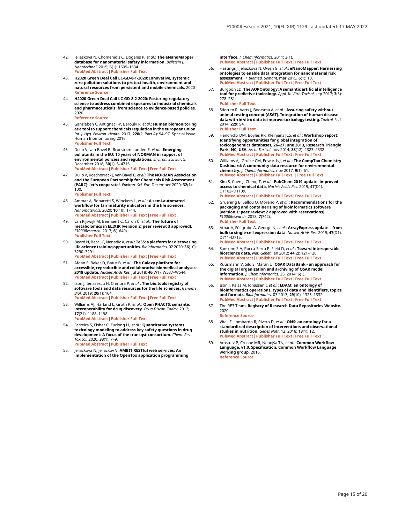- <span id="page-14-0"></span>42. Jeliazkova N, Chomenidis C, Doganis P, *et al*.: **The eNanoMapper**<br>d**atabase for nanomaterial safety information.** *Beilstein J.* Nanotechnol. 2015; 6(1): 1609–1634. [PubMed Abstract](http://www.ncbi.nlm.nih.gov/pubmed/26425413)[|](https://doi.org/10.3762/bjnano.6.165)[Publisher Full Text](https://doi.org/10.3762/bjnano.6.165)
- 43. H2020 Green Deal Call LC-GD-8-1-2020: Innovative, systemic zero-pollution solutions to protect health, environment and natural resources from persistent and mobile chemicals. 2020 [Reference Source](https://ec.europa.eu/info/funding-tenders/opportunities/portal/screen/opportunities/topic-details/lc-gd-8-1-2020;freeTextSearchKeyword=green)
- 44. H2020 Green Deal Call LC-GD-8-2-2020: Fostering regulatory science to address combined exposures to industrial chemicals and pharmaceuticals: from science to evidence-based policies. 2020.<br>Referen

re Source

- 45. Ganzleben C, Antignac J-P, Barouki R, et al.: Human biomonitoring as a tool to support chemicals regulation in the european union. Int. J. Hyg. Environ. Health. 2017; 220(2, Part A): 94-97. Special Issue: Human Biomonitoring 2016. [Publisher Full Text](https://doi.org/10.1016/j.ijheh.2017.01.007)
- 46. Dulio V, van Bavel B, Brorström-Lundén E, et al.: Emerging pollutants in the EU: 10 years of NORMAN in support of environmental policies and regulations. Environ. Sci. Eur. 5, December 2018; 30(1): 5–4715. [PubMed Abstract](http://www.ncbi.nlm.nih.gov/pubmed/29568720)[|](https://doi.org/10.1186/s12302-018-0135-3)[Publisher Full Text](https://doi.org/10.1186/s12302-018-0135-3)[|](http://www.ncbi.nlm.nih.gov/pmc/articles/PMC5846969)[Free Full Text](http://www.ncbi.nlm.nih.gov/pmc/articles/PMC5846969)
- 47. Dulio V, Koschorreck J, van Bavel B, *et al.*: **The NORMAN Association**<br>and the European Partnership for Chemicals Risk Assessment (PARC): let's cooperate!. Environ. Sci. Eur. December 2020; 32(1): 100.

[Publisher Full Text](https://doi.org/10.1186/s12302-020-00375-w)

- Ammar A, Bonaretti S, Winckers L, et al.: A semi-automated workflow for fair maturity indicators in the life sciences. Nanomaterials. 2020; 10(10): 1–14. [PubMed Abstract](http://www.ncbi.nlm.nih.gov/pubmed/33092028)[|](https://doi.org/10.3390/nano10102068)[Publisher Full Text](https://doi.org/10.3390/nano10102068)[|](http://www.ncbi.nlm.nih.gov/pmc/articles/PMC7594074)[Free Full Text](http://www.ncbi.nlm.nih.gov/pmc/articles/PMC7594074)
- van Rijswijk M, Beirnaert C, Caron C, et al.: The future of metabolomics in ELIXIR [version 2; peer review: 3 approved]. F1000Research. 2017; 6(1649). [Publisher Full Text](https://doi.org/10.12688/f1000research.12342.2)
- Beard N, Bacall F, Nenadic A, et al.: TeSS: a platform for discovering life-science training opportunities. Bioinformatics. 02 2020; 36(10): 3290–3291. [PubMed Abstract](http://www.ncbi.nlm.nih.gov/pubmed/32044952)[|](https://doi.org/10.1093/bioinformatics/btaa047)[Publisher Full Text](https://doi.org/10.1093/bioinformatics/btaa047)[|](http://www.ncbi.nlm.nih.gov/pmc/articles/PMC7214044)[Free Full Text](http://www.ncbi.nlm.nih.gov/pmc/articles/PMC7214044)
- 51. Afgan E, Baker D, Batut B, *et al*.: **The Galaxy platform for**<br>accessible, reproducible and collaborative biomedical analyses: 2018 update. Nucleic Acids Res. jul 2018; 46(W1): W537–W544. [PubMed Abstract](http://www.ncbi.nlm.nih.gov/pubmed/29790989)[|](https://doi.org/10.1093/nar/gky379)[Publisher Full Text](https://doi.org/10.1093/nar/gky379)[|](http://www.ncbi.nlm.nih.gov/pmc/articles/PMC6030816)[Free Full Text](http://www.ncbi.nlm.nih.gov/pmc/articles/PMC6030816)
- 52. Ison J, Ienasescu H, Chmura P, *et al*.: **The bio.tools registry of**<br>**software tools and data resources for the life sciences.** Genome Biol. 2019; 20(1): 164. [PubMed Abstract](http://www.ncbi.nlm.nih.gov/pubmed/31405382)[|](https://doi.org/10.1186/s13059-019-1772-6)[Publisher Full Text](https://doi.org/10.1186/s13059-019-1772-6)[|](http://www.ncbi.nlm.nih.gov/pmc/articles/PMC6691543)[Free Full Text](http://www.ncbi.nlm.nih.gov/pmc/articles/PMC6691543)
- 53. Williams AJ, Harland L, Groth P, *et al.* : **Open PHACTS: semantic**<br>i**nteroperability for drug discovery.** *Drug Discov. Today.* 2012; 17(21): 1188–1198. [PubMed Abstract](http://www.ncbi.nlm.nih.gov/pubmed/22683805)[|](https://doi.org/10.1016/j.drudis.2012.05.016)[Publisher Full Text](https://doi.org/10.1016/j.drudis.2012.05.016)
- 54. Ferreira S, Fisher C, Furlong LI, et al.: **Quantitative systems** toxicology modeling to address key safety questions in drug development: A focus of the transqst consortium. Chem. Res. Toxicol. 2020; 33(1): 7–9. [PubMed Abstract](http://www.ncbi.nlm.nih.gov/pubmed/31909603)[|](https://doi.org/10.1021/acs.chemrestox.9b00499)[Publisher Full Text](https://doi.org/10.1021/acs.chemrestox.9b00499)
- 55. Jeliazkova N, Jeliazkov V: AMBIT RESTful web services: An implementation of the OpenTox application programming

interface. J. Cheminformatics. 2011; 3(1). [PubMed Abstract](http://www.ncbi.nlm.nih.gov/pubmed/21575202)[|](https://doi.org/10.1186/1758-2946-3-18)[Publisher Full Text](https://doi.org/10.1186/1758-2946-3-18)[|](http://www.ncbi.nlm.nih.gov/pmc/articles/PMC3120779)[Free Full Text](http://www.ncbi.nlm.nih.gov/pmc/articles/PMC3120779)

- 56. Hastings J, Jeliazkova N, Owen G, et al.: eNanoMapper: Harnessing ontologies to enable data integration for nanomaterial risk assessment. J. Biomed. Semant. mar 2015; 6(1): 10. [PubMed Abstract](http://www.ncbi.nlm.nih.gov/pubmed/25815161)[|](https://doi.org/10.1186/s13326-015-0005-5)[Publisher Full Text](https://doi.org/10.1186/s13326-015-0005-5)[|](http://www.ncbi.nlm.nih.gov/pmc/articles/PMC4374589)[Free Full Text](http://www.ncbi.nlm.nih.gov/pmc/articles/PMC4374589)
- Burgoon LD: The AOPOntology: A semantic artificial intelligence tool for predictive toxicology. Appl. In Vitro Toxicol. sep 2017; 3(3): 278–281. [Publisher Full Text](https://doi.org/10.1089/aivt.2017.0012)
- Stierum R, Aarts J, Boorsma A, et al.: Assuring safety without animal testing concept (ASAT). Integration of human diseas data with in vitro data to improve toxicology testing. Toxicol. Lett. 2014; 229: S4. [Publisher Full Text](https://doi.org/10.1016/j.toxlet.2014.06.041)
- 59. Hendrickx DM, Boyles RR, Kleinjans JCS, et al.: Workshop report: Identifying opportunities for global integration of<br>toxicogenomics databases, 26–27 June 2013, Research Triangle<br>Park, NC, USA. *Arch. Toxicol.* nov 2014; 88(12): 2323–2332. [PubMed Abstract](http://www.ncbi.nlm.nih.gov/pubmed/25326818)[|](https://doi.org/10.1007/s00204-014-1387-3)[Publisher Full Text](https://doi.org/10.1007/s00204-014-1387-3)[|](http://www.ncbi.nlm.nih.gov/pmc/articles/PMC4247478)[Free Full Text](http://www.ncbi.nlm.nih.gov/pmc/articles/PMC4247478)
- 60. Williams AJ, Grulke CM, Edwards J, et al.: The CompTox Chemistry Dashboard: A community data resource for environmental chemistry. J. Cheminformatics. nov 2017; 9(1): 61. [PubMed Abstract](http://www.ncbi.nlm.nih.gov/pubmed/29185060)[|](https://doi.org/10.1186/s13321-017-0247-6)[Publisher Full Text](https://doi.org/10.1186/s13321-017-0247-6). [|](http://www.ncbi.nlm.nih.gov/pmc/articles/PMC5705535)[Free Full Text](http://www.ncbi.nlm.nih.gov/pmc/articles/PMC5705535)
- 61. Kim S, Chen J, Cheng T, et al.: PubChem 2019 update: improved access to chemical data. Nucleic Acids Res. 2019; 47(D1): D1102–D1109. [PubMed Abstract](http://www.ncbi.nlm.nih.gov/pubmed/30371825)[|](https://doi.org/10.1093/nar/gky1033)[Publisher Full Text](https://doi.org/10.1093/nar/gky1033)[|](http://www.ncbi.nlm.nih.gov/pmc/articles/PMC6324075)[Free Full Text](http://www.ncbi.nlm.nih.gov/pmc/articles/PMC6324075)
- 62. Gruening B, Sallou O, Moreno P, et al.: Recommendations for the packaging and containerizing of bioinformatics software [version 1; peer review: 2 approved with reservations]. F1000Research. 2018; 7(742). [Publisher Full Text](https://doi.org/10.12688/f1000research.15140.1)
- Athar A, Füllgrabe A, George N, et al.: ArrayExpress update from bulk to single-cell expression data. Nucleic Acids Res. 2019; 47(D1): D711–D715.
	- [PubMed Abstract](http://www.ncbi.nlm.nih.gov/pubmed/30357387)[|](https://doi.org/10.1093/nar/gky964)[Publisher Full Text](https://doi.org/10.1093/nar/gky964)[|](http://www.ncbi.nlm.nih.gov/pmc/articles/PMC6323929)[Free Full Text](http://www.ncbi.nlm.nih.gov/pmc/articles/PMC6323929)
- 64. Sansone S-A, Rocca-Serra P, Field D, et al.: Toward interoperable bioscience data. *Nat. Genet.* Jan 2012; 44(2): 121–126.<br><mark>[PubMed Abstract](http://www.ncbi.nlm.nih.gov/pubmed/22281772) [|](http://www.ncbi.nlm.nih.gov/pmc/articles/PMC3428019) [Publisher Full Text](https://doi.org/10.1038/ng.1054) | [Free Full Text](http://www.ncbi.nlm.nih.gov/pmc/articles/PMC3428019)</mark>
- 65. Ruusmann V, Sild S, Maran U: QSAR DataBank an approach for the digital organization and archiving of QSAR model<br>information. *J. Cheminformatics.* 25, 2014; 6(1). [PubMed Abstract](http://www.ncbi.nlm.nih.gov/pubmed/24910716)[|](https://doi.org/10.1186/1758-2946-6-25)[Publisher Full Text](https://doi.org/10.1186/1758-2946-6-25)[|](http://www.ncbi.nlm.nih.gov/pmc/articles/PMC4047268)[Free Full Text](http://www.ncbi.nlm.nih.gov/pmc/articles/PMC4047268)
- 66. Ison J, Kalaš M, Jonassen I, et al.: EDAM: an ontology of bioinformatics operations, types of data and identifiers, topics<br>and formats. *Bioinformatics*. 03 2013; **29**(10): 1325–1332. [PubMed Abstract](http://www.ncbi.nlm.nih.gov/pubmed/23479348)[|](https://doi.org/10.1093/bioinformatics/btt113)[Publisher Full Text](https://doi.org/10.1093/bioinformatics/btt113)[|](http://www.ncbi.nlm.nih.gov/pmc/articles/PMC3654706)[Free Full Text](http://www.ncbi.nlm.nih.gov/pmc/articles/PMC3654706)
- 67. The RE3 Team: Registry of Research Data Repositories Website. 2020. [Reference Source](https://www.re3data.org/)

- 68. Vitali F, Lombardo R, Rivero D, et al.: ONS: an ontology for a standardized description of interventions and observational studies in nutrition. Genes Nutr. 12, 2018; 13(1): 12. [PubMed Abstract](http://www.ncbi.nlm.nih.gov/pubmed/29736190)[|](https://doi.org/10.1186/s12263-018-0601-y)[Publisher Full Text](https://doi.org/10.1186/s12263-018-0601-y)[|](http://www.ncbi.nlm.nih.gov/pmc/articles/PMC5928560)[Free Full Text](http://www.ncbi.nlm.nih.gov/pmc/articles/PMC5928560)
- 69. Amstutz P, Crusoe MR, Nebojša TN, et al.: Common Workflow Language, v1.0. Specification, Common Workflow Language working group. 2016. [Reference Source](https://w3id.org/cwl/v1.0/)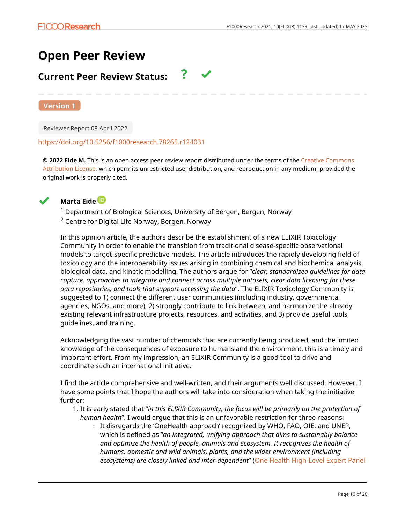# **Open Peer Review**

# **Current Peer Review Status:**

**Version 1**

Reviewer Report 08 April 2022

#### <https://doi.org/10.5256/f1000research.78265.r124031>

**© 2022 Eide M.** This is an open access peer review report distributed under the terms of the [Creative Commons](https://creativecommons.org/licenses/by/4.0/) [Attribution License](https://creativecommons.org/licenses/by/4.0/), which permits unrestricted use, distribution, and reproduction in any medium, provided the original work is properly cited.



## **Marta Eide**

 $1$  Department of Biological Sciences, University of Bergen, Bergen, Norway <sup>2</sup> Centre for Digital Life Norway, Bergen, Norway

In this opinion article, the authors describe the establishment of a new ELIXIR Toxicology Community in order to enable the transition from traditional disease-specific observational models to target-specific predictive models. The article introduces the rapidly developing field of toxicology and the interoperability issues arising in combining chemical and biochemical analysis, biological data, and kinetic modelling. The authors argue for "*clear, standardized guidelines for data capture, approaches to integrate and connect across multiple datasets, clear data licensing for these data repositories, and tools that support accessing the data*". The ELIXIR Toxicology Community is suggested to 1) connect the different user communities (including industry, governmental agencies, NGOs, and more), 2) strongly contribute to link between, and harmonize the already existing relevant infrastructure projects, resources, and activities, and 3) provide useful tools, guidelines, and training.

Acknowledging the vast number of chemicals that are currently being produced, and the limited knowledge of the consequences of exposure to humans and the environment, this is a timely and important effort. From my impression, an ELIXIR Community is a good tool to drive and coordinate such an international initiative.

I find the article comprehensive and well-written, and their arguments well discussed. However, I have some points that I hope the authors will take into consideration when taking the initiative further:

- 1. It is early stated that "*in this ELIXIR Community, the focus will be primarily on the protection of human health*". I would argue that this is an unfavorable restriction for three reasons:
	- $\,\circ\,$  It disregards the 'OneHealth approach' recognized by WHO, FAO, OIE, and UNEP, which is defined as "*an integrated, unifying approach that aims to sustainably balance and optimize the health of people, animals and ecosystem. It recognizes the health of humans, domestic and wild animals, plants, and the wider environment (including ecosystems) are closely linked and inter-dependent*" [\(One Health High-Level Expert Panel](https://www.who.int/publications/m/item/one-health-high-level-expert-panel-annual-report-2021)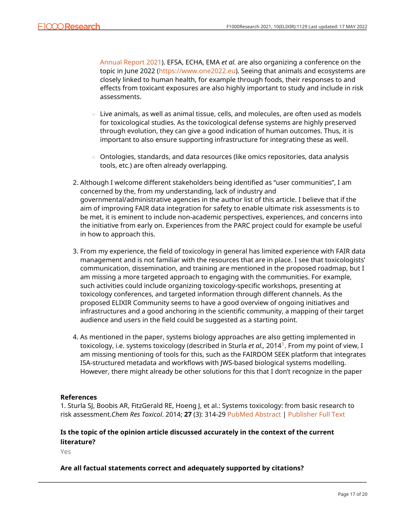[Annual Report 2021](https://www.who.int/publications/m/item/one-health-high-level-expert-panel-annual-report-2021)). EFSA, ECHA, EMA *et al.* are also organizing a conference on the topic in June 2022 [\(https://www.one2022.eu](https://www.one2022.eu/)). Seeing that animals and ecosystems are closely linked to human health, for example through foods, their responses to and effects from toxicant exposures are also highly important to study and include in risk assessments.

- $\circ~$  Live animals, as well as animal tissue, cells, and molecules, are often used as models for toxicological studies. As the toxicological defense systems are highly preserved through evolution, they can give a good indication of human outcomes. Thus, it is important to also ensure supporting infrastructure for integrating these as well.
- $\,\circ\,$  Ontologies, standards, and data resources (like omics repositories, data analysis tools, etc.) are often already overlapping.
- Although I welcome different stakeholders being identified as "user communities", I am 2. concerned by the, from my understanding, lack of industry and governmental/administrative agencies in the author list of this article. I believe that if the aim of improving FAIR data integration for safety to enable ultimate risk assessments is to be met, it is eminent to include non-academic perspectives, experiences, and concerns into the initiative from early on. Experiences from the PARC project could for example be useful in how to approach this.
- 3. From my experience, the field of toxicology in general has limited experience with FAIR data management and is not familiar with the resources that are in place. I see that toxicologists' communication, dissemination, and training are mentioned in the proposed roadmap, but I am missing a more targeted approach to engaging with the communities. For example, such activities could include organizing toxicology-specific workshops, presenting at toxicology conferences, and targeted information through different channels. As the proposed ELIXIR Community seems to have a good overview of ongoing initiatives and infrastructures and a good anchoring in the scientific community, a mapping of their target audience and users in the field could be suggested as a starting point.
- 4. As mentioned in the paper, systems biology approaches are also getting implemented in toxicology, i.e. systems toxicology (described in Sturla *et al.,* 2014[1](jar:file:/work/f1000research/webapps/ROOT/WEB-INF/lib/service-1.0-SNAPSHOT.jar!/com/f1000research/service/export/pdf/#rep-ref-124031-1). From my point of view, I am missing mentioning of tools for this, such as the FAIRDOM SEEK platform that integrates ISA-structured metadata and workflows with JWS-based biological systems modelling. However, there might already be other solutions for this that I don't recognize in the paper

## **References**

1. Sturla SJ, Boobis AR, FitzGerald RE, Hoeng J, et al.: Systems toxicology: from basic research to risk assessment.*Chem Res Toxicol*. 2014; **27** (3): 314-29 [PubMed Abstract](http://www.ncbi.nlm.nih.gov/pubmed/24446777) | [Publisher Full Text](https://doi.org/10.1021/tx400410s)

## **Is the topic of the opinion article discussed accurately in the context of the current literature?**

Yes

## **Are all factual statements correct and adequately supported by citations?**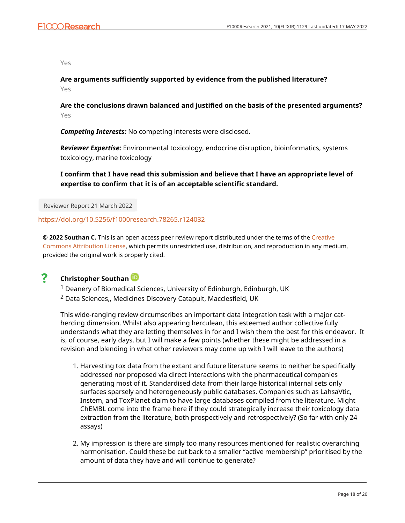Yes

**Are arguments sufficiently supported by evidence from the published literature?** Yes

**Are the conclusions drawn balanced and justified on the basis of the presented arguments?** Yes

*Competing Interests:* No competing interests were disclosed.

*Reviewer Expertise:* Environmental toxicology, endocrine disruption, bioinformatics, systems toxicology, marine toxicology

**I confirm that I have read this submission and believe that I have an appropriate level of expertise to confirm that it is of an acceptable scientific standard.**

Reviewer Report 21 March 2022

<https://doi.org/10.5256/f1000research.78265.r124032>

**© 2022 Southan C.** This is an open access peer review report distributed under the terms of the [Creative](https://creativecommons.org/licenses/by/4.0/) [Commons Attribution License](https://creativecommons.org/licenses/by/4.0/), which permits unrestricted use, distribution, and reproduction in any medium, provided the original work is properly cited.

#### ? **Christopher Southan**

<sup>1</sup> Deanery of Biomedical Sciences, University of Edinburgh, Edinburgh, UK <sup>2</sup> Data Sciences,, Medicines Discovery Catapult, Macclesfield, UK

This wide-ranging review circumscribes an important data integration task with a major catherding dimension. Whilst also appearing herculean, this esteemed author collective fully understands what they are letting themselves in for and I wish them the best for this endeavor. It is, of course, early days, but I will make a few points (whether these might be addressed in a revision and blending in what other reviewers may come up with I will leave to the authors)

- 1. Harvesting tox data from the extant and future literature seems to neither be specifically addressed nor proposed via direct interactions with the pharmaceutical companies generating most of it. Standardised data from their large historical internal sets only surfaces sparsely and heterogeneously public databases. Companies such as LahsaVtic, Instem, and ToxPlanet claim to have large databases compiled from the literature. Might ChEMBL come into the frame here if they could strategically increase their toxicology data extraction from the literature, both prospectively and retrospectively? (So far with only 24 assays)
- 2. My impression is there are simply too many resources mentioned for realistic overarching harmonisation. Could these be cut back to a smaller "active membership" prioritised by the amount of data they have and will continue to generate?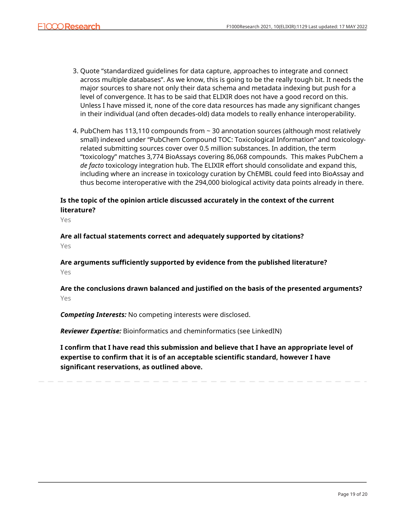- 3. Quote "standardized guidelines for data capture, approaches to integrate and connect across multiple databases". As we know, this is going to be the really tough bit. It needs the major sources to share not only their data schema and metadata indexing but push for a level of convergence. It has to be said that ELIXIR does not have a good record on this. Unless I have missed it, none of the core data resources has made any significant changes in their individual (and often decades-old) data models to really enhance interoperability.
- 4. PubChem has 113,110 compounds from ~ 30 annotation sources (although most relatively small) indexed under "PubChem Compound TOC: Toxicological Information" and toxicologyrelated submitting sources cover over 0.5 million substances. In addition, the term "toxicology" matches 3,774 BioAssays covering 86,068 compounds. This makes PubChem a *de facto* toxicology integration hub. The ELIXIR effort should consolidate and expand this, including where an increase in toxicology curation by ChEMBL could feed into BioAssay and thus become interoperative with the 294,000 biological activity data points already in there.

## **Is the topic of the opinion article discussed accurately in the context of the current literature?**

Yes

**Are all factual statements correct and adequately supported by citations?** Yes

**Are arguments sufficiently supported by evidence from the published literature?** Yes

## **Are the conclusions drawn balanced and justified on the basis of the presented arguments?** Yes

*Competing Interests:* No competing interests were disclosed.

*Reviewer Expertise:* Bioinformatics and cheminformatics (see LinkedIN)

**I confirm that I have read this submission and believe that I have an appropriate level of expertise to confirm that it is of an acceptable scientific standard, however I have significant reservations, as outlined above.**